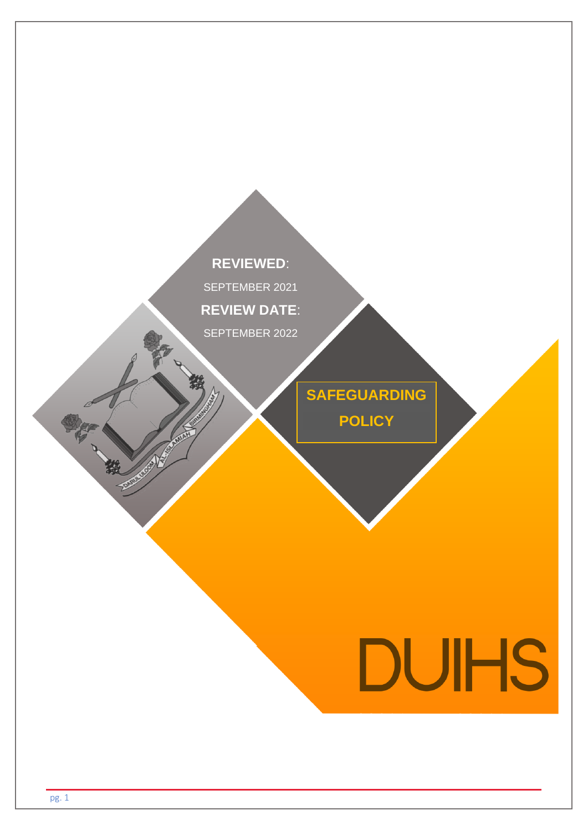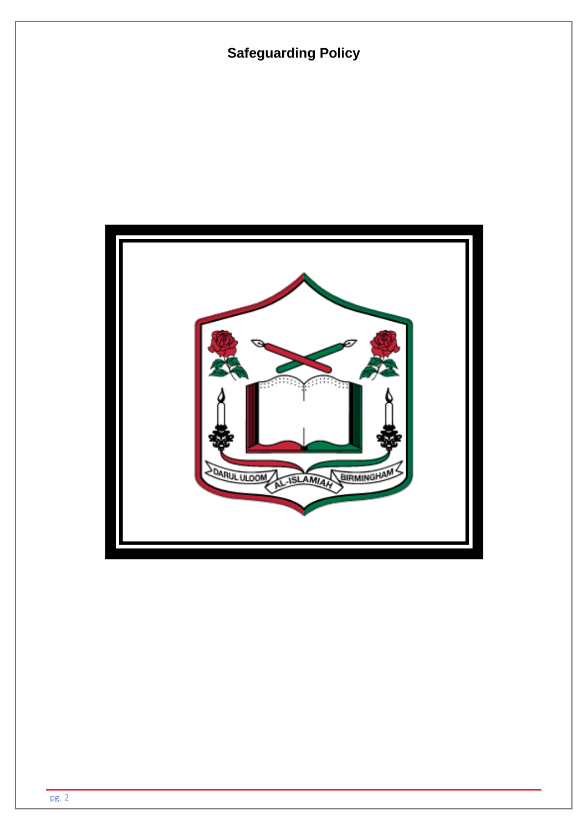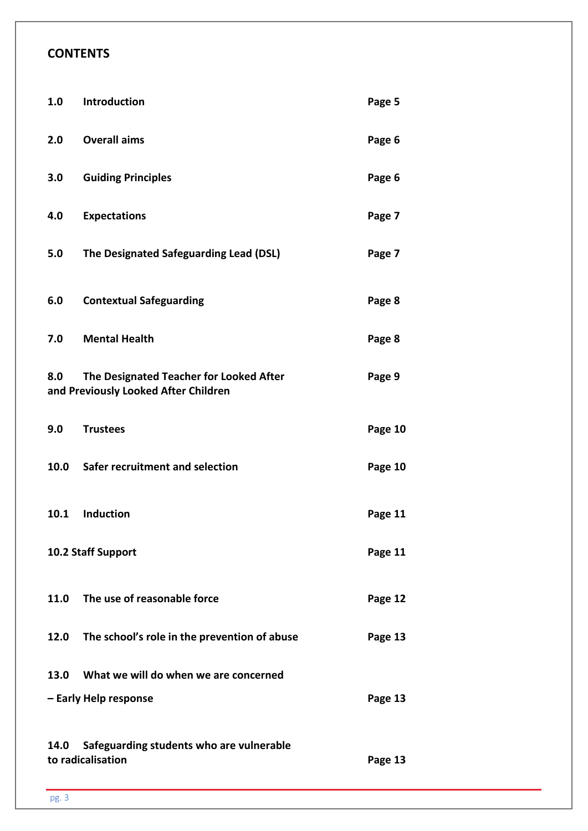# **CONTENTS**

| 1.0  | Introduction                                                                    | Page 5  |
|------|---------------------------------------------------------------------------------|---------|
| 2.0  | <b>Overall aims</b>                                                             | Page 6  |
| 3.0  | <b>Guiding Principles</b>                                                       | Page 6  |
| 4.0  | <b>Expectations</b>                                                             | Page 7  |
| 5.0  | The Designated Safeguarding Lead (DSL)                                          | Page 7  |
| 6.0  | <b>Contextual Safeguarding</b>                                                  | Page 8  |
| 7.0  | <b>Mental Health</b>                                                            | Page 8  |
| 8.0  | The Designated Teacher for Looked After<br>and Previously Looked After Children | Page 9  |
| 9.0  | <b>Trustees</b>                                                                 | Page 10 |
| 10.0 | Safer recruitment and selection                                                 | Page 10 |
| 10.1 | <b>Induction</b>                                                                | Page 11 |
|      | 10.2 Staff Support                                                              | Page 11 |
| 11.0 | The use of reasonable force                                                     | Page 12 |
| 12.0 | The school's role in the prevention of abuse                                    | Page 13 |
| 13.0 | What we will do when we are concerned                                           |         |
|      | - Early Help response                                                           | Page 13 |
| 14.0 | Safeguarding students who are vulnerable<br>to radicalisation                   | Page 13 |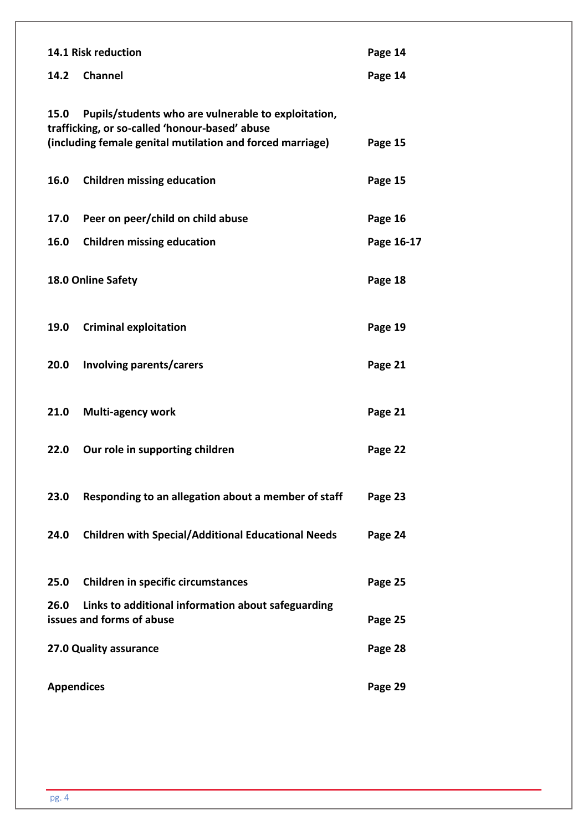|                        | 14.1 Risk reduction<br>Page 14                                                                                                                                     |            |
|------------------------|--------------------------------------------------------------------------------------------------------------------------------------------------------------------|------------|
| 14.2                   | <b>Channel</b>                                                                                                                                                     | Page 14    |
| 15.0                   | Pupils/students who are vulnerable to exploitation,<br>trafficking, or so-called 'honour-based' abuse<br>(including female genital mutilation and forced marriage) | Page 15    |
| 16.0                   | <b>Children missing education</b>                                                                                                                                  | Page 15    |
| 17.0                   | Peer on peer/child on child abuse                                                                                                                                  | Page 16    |
| 16.0                   | <b>Children missing education</b>                                                                                                                                  | Page 16-17 |
|                        | 18.0 Online Safety                                                                                                                                                 | Page 18    |
| 19.0                   | <b>Criminal exploitation</b>                                                                                                                                       | Page 19    |
| 20.0                   | Involving parents/carers                                                                                                                                           | Page 21    |
| 21.0                   | <b>Multi-agency work</b>                                                                                                                                           | Page 21    |
| 22.0                   | Our role in supporting children                                                                                                                                    | Page 22    |
| 23.0                   | Responding to an allegation about a member of staff                                                                                                                | Page 23    |
| 24.0                   | <b>Children with Special/Additional Educational Needs</b>                                                                                                          | Page 24    |
| 25.0                   | <b>Children in specific circumstances</b>                                                                                                                          | Page 25    |
| 26.0                   | Links to additional information about safeguarding<br>issues and forms of abuse                                                                                    | Page 25    |
| 27.0 Quality assurance |                                                                                                                                                                    | Page 28    |
| <b>Appendices</b>      |                                                                                                                                                                    | Page 29    |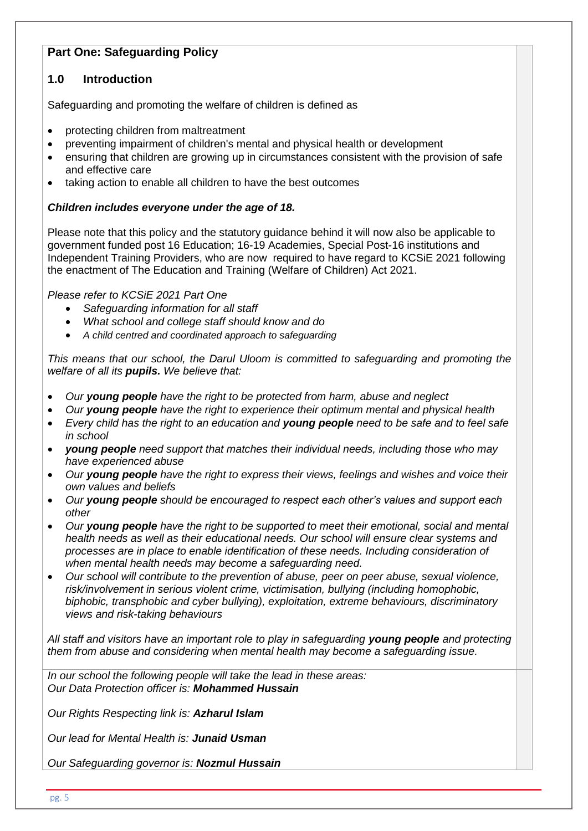# **Part One: Safeguarding Policy**

## **1.0 Introduction**

Safeguarding and promoting the welfare of children is defined as

- protecting children from maltreatment
- preventing impairment of children's mental and physical health or development
- ensuring that children are growing up in circumstances consistent with the provision of safe and effective care
- taking action to enable all children to have the best outcomes

#### *Children includes everyone under the age of 18.*

Please note that this policy and the statutory guidance behind it will now also be applicable to government funded post 16 Education; 16-19 Academies, Special Post-16 institutions and Independent Training Providers, who are now required to have regard to KCSiE 2021 following the enactment of The Education and Training (Welfare of Children) Act 2021.

*Please refer to KCSiE 2021 Part One*

- *Safeguarding information for all staff*
- *What school and college staff should know and do*
- *A child centred and coordinated approach to safeguarding*

*This means that our school, the Darul Uloom is committed to safeguarding and promoting the welfare of all its pupils. We believe that:*

- *Our young people have the right to be protected from harm, abuse and neglect*
- *Our young people have the right to experience their optimum mental and physical health*
- *Every child has the right to an education and young people need to be safe and to feel safe in school*
- *young people need support that matches their individual needs, including those who may have experienced abuse*
- *Our young people have the right to express their views, feelings and wishes and voice their own values and beliefs*
- *Our young people should be encouraged to respect each other's values and support each other*
- *Our young people have the right to be supported to meet their emotional, social and mental health needs as well as their educational needs. Our school will ensure clear systems and processes are in place to enable identification of these needs. Including consideration of when mental health needs may become a safeguarding need.*
- *Our school will contribute to the prevention of abuse, peer on peer abuse, sexual violence, risk/involvement in serious violent crime, victimisation, bullying (including homophobic, biphobic, transphobic and cyber bullying), exploitation, extreme behaviours, discriminatory views and risk-taking behaviours*

*All staff and visitors have an important role to play in safeguarding young people and protecting them from abuse and considering when mental health may become a safeguarding issue.*

*In our school the following people will take the lead in these areas: Our Data Protection officer is: Mohammed Hussain*

*Our Rights Respecting link is: Azharul Islam*

*Our lead for Mental Health is: Junaid Usman*

*Our Safeguarding governor is: Nozmul Hussain*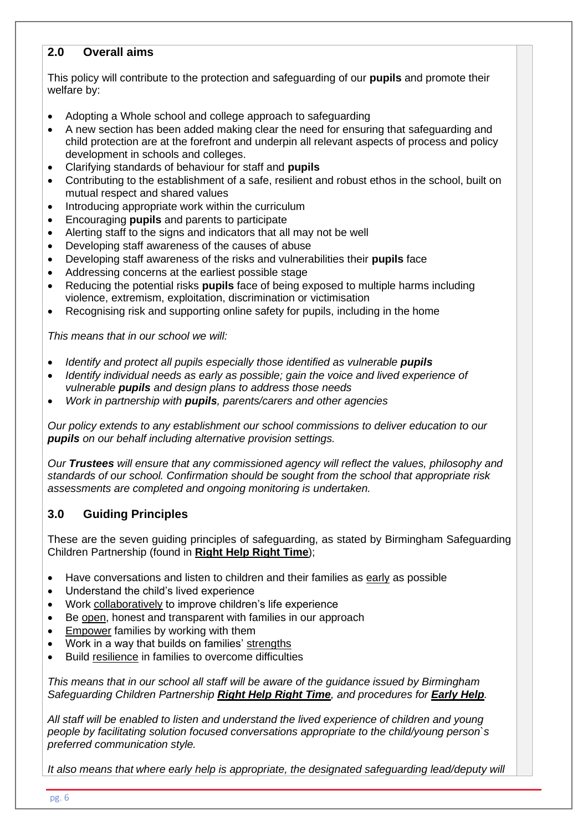## **2.0 Overall aims**

This policy will contribute to the protection and safeguarding of our **pupils** and promote their welfare by:

- Adopting a Whole school and college approach to safeguarding
- A new section has been added making clear the need for ensuring that safeguarding and child protection are at the forefront and underpin all relevant aspects of process and policy development in schools and colleges.
- Clarifying standards of behaviour for staff and **pupils**
- Contributing to the establishment of a safe, resilient and robust ethos in the school, built on mutual respect and shared values
- Introducing appropriate work within the curriculum
- Encouraging **pupils** and parents to participate
- Alerting staff to the signs and indicators that all may not be well
- Developing staff awareness of the causes of abuse
- Developing staff awareness of the risks and vulnerabilities their **pupils** face
- Addressing concerns at the earliest possible stage
- Reducing the potential risks **pupils** face of being exposed to multiple harms including violence, extremism, exploitation, discrimination or victimisation
- Recognising risk and supporting online safety for pupils, including in the home

*This means that in our school we will:*

- *Identify and protect all pupils especially those identified as vulnerable pupils*
- *Identify individual needs as early as possible; gain the voice and lived experience of vulnerable pupils and design plans to address those needs*
- *Work in partnership with pupils, parents/carers and other agencies*

*Our policy extends to any establishment our school commissions to deliver education to our pupils on our behalf including alternative provision settings.*

*Our Trustees will ensure that any commissioned agency will reflect the values, philosophy and standards of our school. Confirmation should be sought from the school that appropriate risk assessments are completed and ongoing monitoring is undertaken.*

## **3.0 Guiding Principles**

These are the seven guiding principles of safeguarding, as stated by Birmingham Safeguarding Children Partnership (found in **[Right Help Right Time](https://lscpbirmingham.org.uk/delivering-effective-support)**);

- Have conversations and listen to children and their families as early as possible
- Understand the child's lived experience
- Work collaboratively to improve children's life experience
- Be open, honest and transparent with families in our approach
- **Empower families by working with them**
- Work in a way that builds on families' strengths
- Build resilience in families to overcome difficulties

*This means that in our school all staff will be aware of the guidance issued by Birmingham Safeguarding Children Partnership [Right Help Right Time](http://www.lscbbirmingham.org.uk/index.php/delivering-effective-support), and procedures for [Early Help](http://www.lscbbirmingham.org.uk/index.php/early-help).*

*All staff will be enabled to listen and understand the lived experience of children and young people by facilitating solution focused conversations appropriate to the child/young person`s preferred communication style.* 

*It also means that where early help is appropriate, the designated safeguarding lead/deputy will*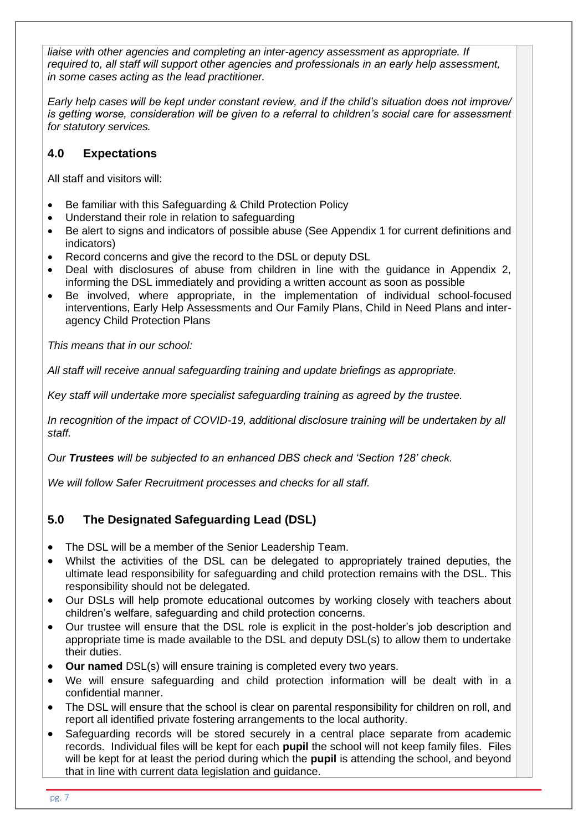liaise with other agencies and completing an inter-agency assessment as appropriate. If *required to, all staff will support other agencies and professionals in an early help assessment, in some cases acting as the lead practitioner.* 

*Early help cases will be kept under constant review, and if the child's situation does not improve/ is getting worse, consideration will be given to a referral to children's social care for assessment for statutory services.*

# **4.0 Expectations**

All staff and visitors will:

- Be familiar with this Safeguarding & Child Protection Policy
- Understand their role in relation to safeguarding
- Be alert to signs and indicators of possible abuse (See Appendix 1 for current definitions and indicators)
- Record concerns and give the record to the DSL or deputy DSL
- Deal with disclosures of abuse from children in line with the guidance in Appendix 2, informing the DSL immediately and providing a written account as soon as possible
- Be involved, where appropriate, in the implementation of individual school-focused interventions, Early Help Assessments and Our Family Plans, Child in Need Plans and interagency Child Protection Plans

*This means that in our school:*

*All staff will receive annual safeguarding training and update briefings as appropriate.* 

*Key staff will undertake more specialist safeguarding training as agreed by the trustee.* 

*In recognition of the impact of COVID-19, additional disclosure training will be undertaken by all staff.*

*Our Trustees will be subjected to an enhanced DBS check and 'Section 128' check.*

*We will follow Safer Recruitment processes and checks for all staff.* 

## **5.0 The Designated Safeguarding Lead (DSL)**

- The DSL will be a member of the Senior Leadership Team.
- Whilst the activities of the DSL can be delegated to appropriately trained deputies, the ultimate lead responsibility for safeguarding and child protection remains with the DSL. This responsibility should not be delegated.
- Our DSLs will help promote educational outcomes by working closely with teachers about children's welfare, safeguarding and child protection concerns.
- Our trustee will ensure that the DSL role is explicit in the post-holder's job description and appropriate time is made available to the DSL and deputy DSL(s) to allow them to undertake their duties.
- **Our named** DSL(s) will ensure training is completed every two years.
- We will ensure safeguarding and child protection information will be dealt with in a confidential manner.
- The DSL will ensure that the school is clear on parental responsibility for children on roll, and report all identified private fostering arrangements to the local authority.
- Safeguarding records will be stored securely in a central place separate from academic records. Individual files will be kept for each **pupil** the school will not keep family files. Files will be kept for at least the period during which the **pupil** is attending the school, and beyond that in line with current data legislation and guidance.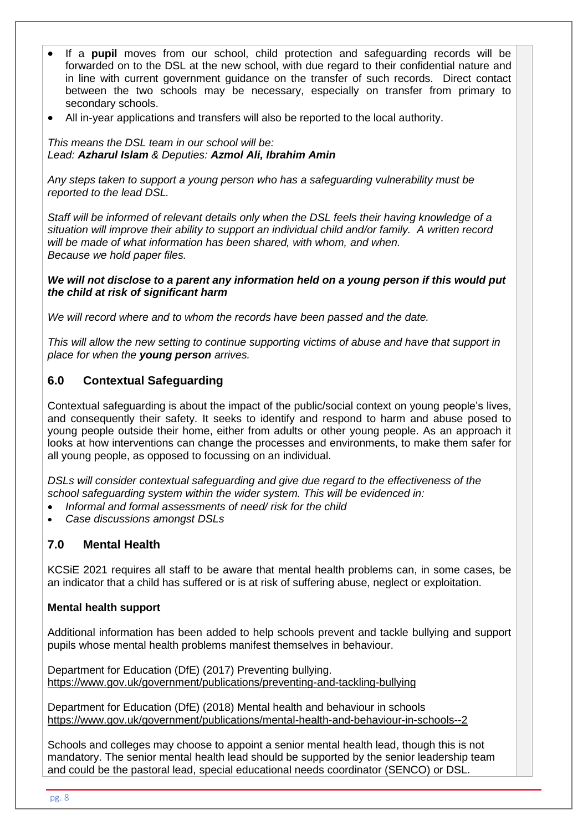- If a **pupil** moves from our school, child protection and safeguarding records will be forwarded on to the DSL at the new school, with due regard to their confidential nature and in line with current government guidance on the transfer of such records. Direct contact between the two schools may be necessary, especially on transfer from primary to secondary schools.
- All in-year applications and transfers will also be reported to the local authority.

*This means the DSL team in our school will be: Lead: Azharul Islam & Deputies: Azmol Ali, Ibrahim Amin*

*Any steps taken to support a young person who has a safeguarding vulnerability must be reported to the lead DSL.*

*Staff will be informed of relevant details only when the DSL feels their having knowledge of a situation will improve their ability to support an individual child and/or family. A written record will be made of what information has been shared, with whom, and when. Because we hold paper files.* 

## *We will not disclose to a parent any information held on a young person if this would put the child at risk of significant harm*

*We will record where and to whom the records have been passed and the date.* 

*This will allow the new setting to continue supporting victims of abuse and have that support in place for when the young person arrives.*

# **6.0 Contextual Safeguarding**

Contextual safeguarding is about the impact of the public/social context on young people's lives, and consequently their safety. It seeks to identify and respond to harm and abuse posed to young people outside their home, either from adults or other young people. As an approach it looks at how interventions can change the processes and environments, to make them safer for all young people, as opposed to focussing on an individual.

*DSLs will consider contextual safeguarding and give due regard to the effectiveness of the school safeguarding system within the wider system. This will be evidenced in:*

- *Informal and formal assessments of need/ risk for the child*
- *Case discussions amongst DSLs*

# **7.0 Mental Health**

KCSiE 2021 requires all staff to be aware that mental health problems can, in some cases, be an indicator that a child has suffered or is at risk of suffering abuse, neglect or exploitation.

# **Mental health support**

Additional information has been added to help schools prevent and tackle bullying and support pupils whose mental health problems manifest themselves in behaviour.

Department for Education (DfE) (2017) Preventing bullying. <https://www.gov.uk/government/publications/preventing-and-tackling-bullying>

Department for Education (DfE) (2018) Mental health and behaviour in schools <https://www.gov.uk/government/publications/mental-health-and-behaviour-in-schools--2>

Schools and colleges may choose to appoint a senior mental health lead, though this is not mandatory. The senior mental health lead should be supported by the senior leadership team and could be the pastoral lead, special educational needs coordinator (SENCO) or DSL.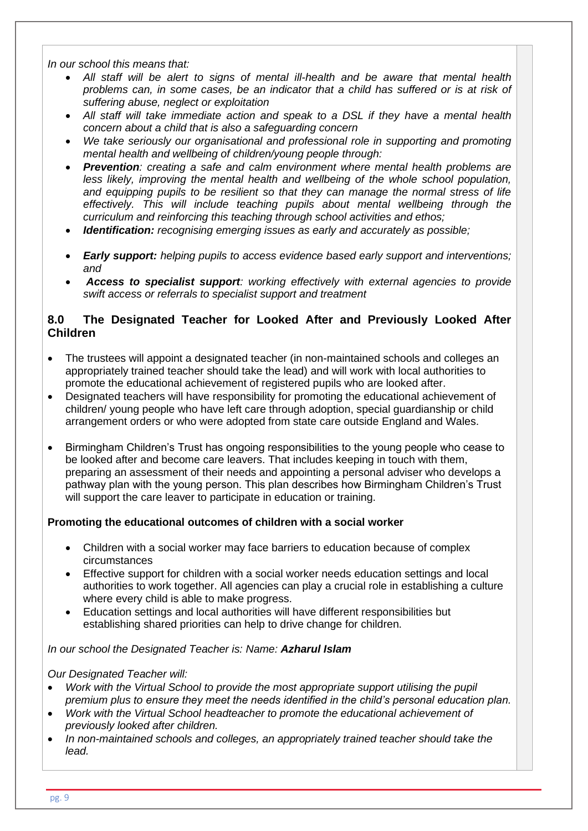*In our school this means that:*

- *All staff will be alert to signs of mental ill-health and be aware that mental health problems can, in some cases, be an indicator that a child has suffered or is at risk of suffering abuse, neglect or exploitation*
- *All staff will take immediate action and speak to a DSL if they have a mental health concern about a child that is also a safeguarding concern*
- *We take seriously our organisational and professional role in supporting and promoting mental health and wellbeing of children/young people through:*
- *Prevention: creating a safe and calm environment where mental health problems are*  less likely, improving the mental health and wellbeing of the whole school population, *and equipping pupils to be resilient so that they can manage the normal stress of life effectively. This will include teaching pupils about mental wellbeing through the curriculum and reinforcing this teaching through school activities and ethos;*
- *Identification: recognising emerging issues as early and accurately as possible;*
- *Early support: helping pupils to access evidence based early support and interventions; and*
- *Access to specialist support: working effectively with external agencies to provide swift access or referrals to specialist support and treatment*

## **8.0 The Designated Teacher for Looked After and Previously Looked After Children**

- The trustees will appoint a designated teacher (in non-maintained schools and colleges an appropriately trained teacher should take the lead) and will work with local authorities to promote the educational achievement of registered pupils who are looked after.
- Designated teachers will have responsibility for promoting the educational achievement of children/ young people who have left care through adoption, special guardianship or child arrangement orders or who were adopted from state care outside England and Wales.
- Birmingham Children's Trust has ongoing responsibilities to the young people who cease to be looked after and become care leavers. That includes keeping in touch with them, preparing an assessment of their needs and appointing a personal adviser who develops a pathway plan with the young person. This plan describes how Birmingham Children's Trust will support the care leaver to participate in education or training.

## **Promoting the educational outcomes of children with a social worker**

- Children with a social worker may face barriers to education because of complex circumstances
- Effective support for children with a social worker needs education settings and local authorities to work together. All agencies can play a crucial role in establishing a culture where every child is able to make progress.
- Education settings and local authorities will have different responsibilities but establishing shared priorities can help to drive change for children.

#### *In our school the Designated Teacher is: Name: Azharul Islam*

#### *Our Designated Teacher will:*

- *Work with the Virtual School to provide the most appropriate support utilising the pupil premium plus to ensure they meet the needs identified in the child's personal education plan.*
- *Work with the Virtual School headteacher to promote the educational achievement of previously looked after children.*
- *In non-maintained schools and colleges, an appropriately trained teacher should take the lead.*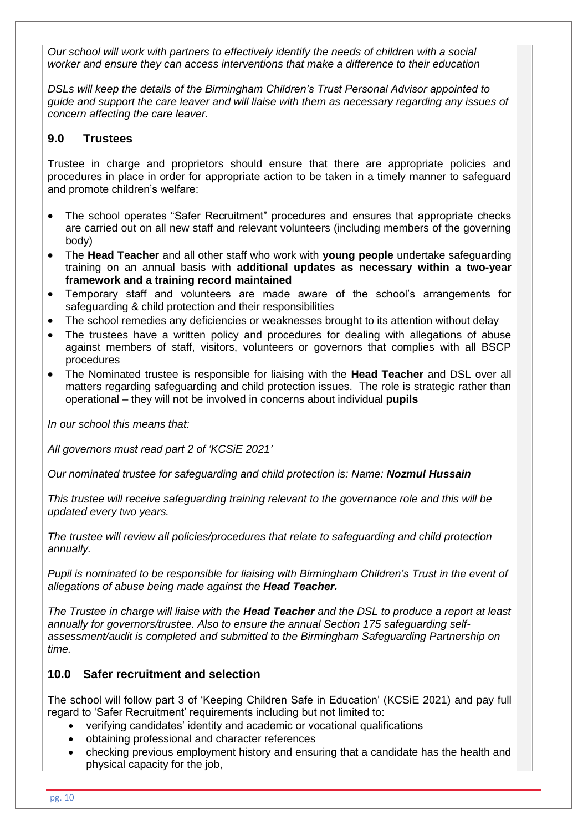*Our school will work with partners to effectively identify the needs of children with a social worker and ensure they can access interventions that make a difference to their education*

*DSLs will keep the details of the Birmingham Children's Trust Personal Advisor appointed to guide and support the care leaver and will liaise with them as necessary regarding any issues of concern affecting the care leaver.*

#### **9.0 Trustees**

Trustee in charge and proprietors should ensure that there are appropriate policies and procedures in place in order for appropriate action to be taken in a timely manner to safeguard and promote children's welfare:

- The school operates "Safer Recruitment" procedures and ensures that appropriate checks are carried out on all new staff and relevant volunteers (including members of the governing body)
- The **Head Teacher** and all other staff who work with **young people** undertake safeguarding training on an annual basis with **additional updates as necessary within a two-year framework and a training record maintained**
- Temporary staff and volunteers are made aware of the school's arrangements for safeguarding & child protection and their responsibilities
- The school remedies any deficiencies or weaknesses brought to its attention without delay
- The trustees have a written policy and procedures for dealing with allegations of abuse against members of staff, visitors, volunteers or governors that complies with all BSCP procedures
- The Nominated trustee is responsible for liaising with the **Head Teacher** and DSL over all matters regarding safeguarding and child protection issues. The role is strategic rather than operational – they will not be involved in concerns about individual **pupils**

*In our school this means that:*

*All governors must read part 2 of 'KCSiE 2021'*

*Our nominated trustee for safeguarding and child protection is: Name: Nozmul Hussain*

*This trustee will receive safeguarding training relevant to the governance role and this will be updated every two years.*

*The trustee will review all policies/procedures that relate to safeguarding and child protection annually.*

*Pupil is nominated to be responsible for liaising with Birmingham Children's Trust in the event of allegations of abuse being made against the Head Teacher.*

*The Trustee in charge will liaise with the Head Teacher and the DSL to produce a report at least annually for governors/trustee. Also to ensure the annual Section 175 safeguarding selfassessment/audit is completed and submitted to the Birmingham Safeguarding Partnership on time.*

#### **10.0 Safer recruitment and selection**

The school will follow part 3 of 'Keeping Children Safe in Education' (KCSiE 2021) and pay full regard to 'Safer Recruitment' requirements including but not limited to:

- verifying candidates' identity and academic or vocational qualifications
- obtaining professional and character references
- checking previous employment history and ensuring that a candidate has the health and physical capacity for the job,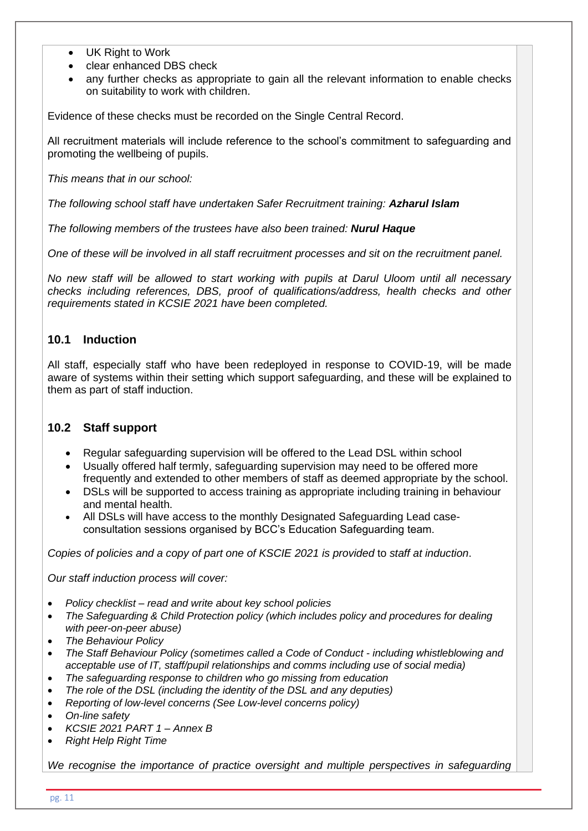- UK Right to Work
- clear enhanced DBS check
- any further checks as appropriate to gain all the relevant information to enable checks on suitability to work with children.

Evidence of these checks must be recorded on the Single Central Record.

All recruitment materials will include reference to the school's commitment to safeguarding and promoting the wellbeing of pupils.

*This means that in our school:*

*The following school staff have undertaken Safer Recruitment training: Azharul Islam*

*The following members of the trustees have also been trained: Nurul Haque*

*One of these will be involved in all staff recruitment processes and sit on the recruitment panel.*

*No new staff will be allowed to start working with pupils at Darul Uloom until all necessary checks including references, DBS, proof of qualifications/address, health checks and other requirements stated in KCSIE 2021 have been completed.*

## **10.1 Induction**

All staff, especially staff who have been redeployed in response to COVID-19, will be made aware of systems within their setting which support safeguarding, and these will be explained to them as part of staff induction.

#### **10.2 Staff support**

- Regular safeguarding supervision will be offered to the Lead DSL within school
- Usually offered half termly, safeguarding supervision may need to be offered more frequently and extended to other members of staff as deemed appropriate by the school.
- DSLs will be supported to access training as appropriate including training in behaviour and mental health.
- All DSLs will have access to the monthly Designated Safeguarding Lead caseconsultation sessions organised by BCC's Education Safeguarding team.

*Copies of policies and a copy of part one of KSCIE 2021 is provided* to *staff at induction*.

*Our staff induction process will cover:*

- *Policy checklist – read and write about key school policies*
- *The Safeguarding & Child Protection policy (which includes policy and procedures for dealing with peer-on-peer abuse)*
- *The Behaviour Policy*
- *The Staff Behaviour Policy (sometimes called a Code of Conduct - including whistleblowing and acceptable use of IT, staff/pupil relationships and comms including use of social media)*
- *The safeguarding response to children who go missing from education*
- *The role of the DSL (including the identity of the DSL and any deputies)*
- *Reporting of low-level concerns (See Low-level concerns policy)*
- *On-line safety*
- *KCSIE 2021 PART 1 – Annex B*
- *Right Help Right Time*

We recognise the importance of practice oversight and multiple perspectives in safeguarding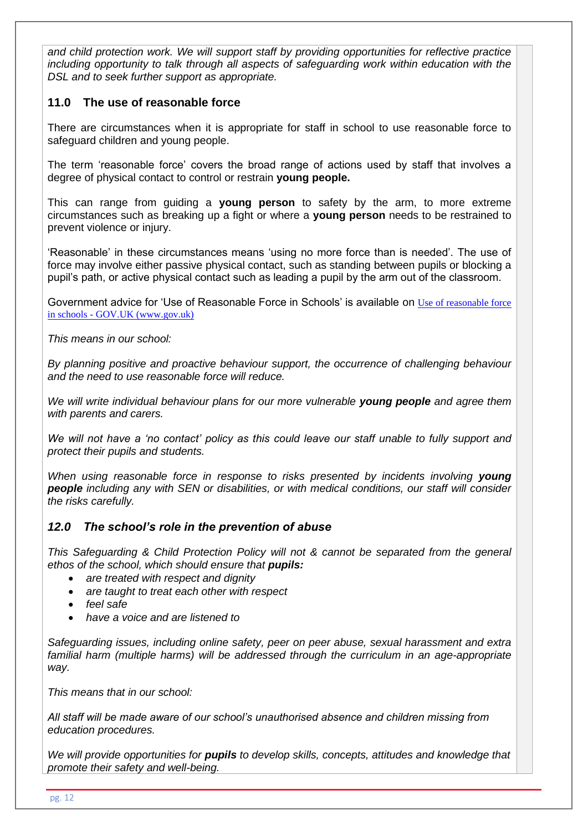*and child protection work. We will support staff by providing opportunities for reflective practice including opportunity to talk through all aspects of safeguarding work within education with the DSL and to seek further support as appropriate.*

## **11.0 The use of reasonable force**

There are circumstances when it is appropriate for staff in school to use reasonable force to safeguard children and young people.

The term 'reasonable force' covers the broad range of actions used by staff that involves a degree of physical contact to control or restrain **young people.** 

This can range from guiding a **young person** to safety by the arm, to more extreme circumstances such as breaking up a fight or where a **young person** needs to be restrained to prevent violence or injury.

'Reasonable' in these circumstances means 'using no more force than is needed'. The use of force may involve either passive physical contact, such as standing between pupils or blocking a pupil's path, or active physical contact such as leading a pupil by the arm out of the classroom.

Government advice for 'Use of Reasonable Force in Schools' is available on Use of reasonable force in schools - GOV.UK (www.gov.uk)

*This means in our school:*

*By planning positive and proactive behaviour support, the occurrence of challenging behaviour and the need to use reasonable force will reduce.*

*We will write individual behaviour plans for our more vulnerable young people and agree them with parents and carers.*

We will not have a 'no contact' policy as this could leave our staff unable to fully support and *protect their pupils and students.*

*When using reasonable force in response to risks presented by incidents involving young people including any with SEN or disabilities, or with medical conditions, our staff will consider the risks carefully.*

## *12.0 The school's role in the prevention of abuse*

*This Safeguarding & Child Protection Policy will not & cannot be separated from the general ethos of the school, which should ensure that pupils:* 

- *are treated with respect and dignity*
- *are taught to treat each other with respect*
- *feel safe*
- *have a voice and are listened to*

*Safeguarding issues, including online safety, peer on peer abuse, sexual harassment and extra*  familial harm (multiple harms) will be addressed through the curriculum in an age-appropriate *way.*

*This means that in our school:*

*All staff will be made aware of our school's unauthorised absence and children missing from education procedures.*

*We will provide opportunities for pupils to develop skills, concepts, attitudes and knowledge that promote their safety and well-being.*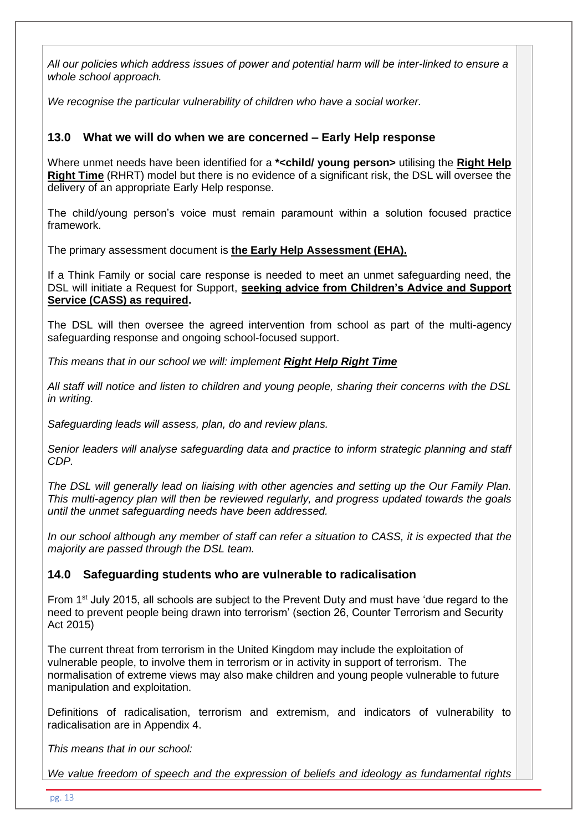*All our policies which address issues of power and potential harm will be inter-linked to ensure a whole school approach.*

*We recognise the particular vulnerability of children who have a social worker.*

## **13.0 What we will do when we are concerned – Early Help response**

Where unmet needs have been identified for a **\*<child/ young person>** utilising the **[Right Help](https://www.lscpbirmingham.org.uk/delivering-effective-support)  [Right Time](https://www.lscpbirmingham.org.uk/delivering-effective-support)** (RHRT) model but there is no evidence of a significant risk, the DSL will oversee the delivery of an appropriate Early Help response.

The child/young person's voice must remain paramount within a solution focused practice framework.

The primary assessment document is **[the Early Help Assessment \(EHA\).](https://www.lscpbirmingham.org.uk/index.php/early-help/early-help)**

If a Think Family or social care response is needed to meet an unmet safeguarding need, the DSL will initiate a Request for Support, **[seeking advice from Children's Advice and Support](https://www.birminghamchildrenstrust.co.uk/info/3/information_for_professionals/40/refer_a_child_who_you_re_concerned_about)  [Service \(CASS\) as required.](https://www.birminghamchildrenstrust.co.uk/info/3/information_for_professionals/40/refer_a_child_who_you_re_concerned_about)**

The DSL will then oversee the agreed intervention from school as part of the multi-agency safeguarding response and ongoing school-focused support.

*This means that in our school we will: implement [Right Help Right Time](http://www.lscbbirmingham.org.uk/index.php/delivering-effective-support)*

*All staff will notice and listen to children and young people, sharing their concerns with the DSL in writing.*

*Safeguarding leads will assess, plan, do and review plans.*

*Senior leaders will analyse safeguarding data and practice to inform strategic planning and staff CDP.*

*The DSL will generally lead on liaising with other agencies and setting up the Our Family Plan. This multi-agency plan will then be reviewed regularly, and progress updated towards the goals until the unmet safeguarding needs have been addressed.* 

*In our school although any member of staff can refer a situation to CASS, it is expected that the majority are passed through the DSL team.*

## **14.0 Safeguarding students who are vulnerable to radicalisation**

From 1st July 2015, all schools are subject to the Prevent Duty and must have 'due regard to the need to prevent people being drawn into terrorism' (section 26, Counter Terrorism and Security Act 2015)

The current threat from terrorism in the United Kingdom may include the exploitation of vulnerable people, to involve them in terrorism or in activity in support of terrorism. The normalisation of extreme views may also make children and young people vulnerable to future manipulation and exploitation.

Definitions of radicalisation, terrorism and extremism, and indicators of vulnerability to radicalisation are in Appendix 4.

*This means that in our school:*

*We value freedom of speech and the expression of beliefs and ideology as fundamental rights*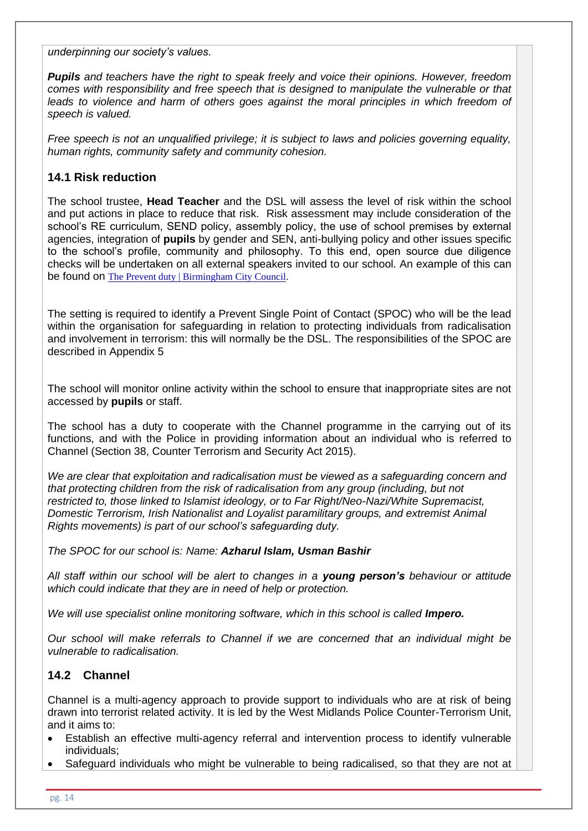*underpinning our society's values.*

*Pupils and teachers have the right to speak freely and voice their opinions. However, freedom comes with responsibility and free speech that is designed to manipulate the vulnerable or that*  leads to violence and harm of others goes against the moral principles in which freedom of *speech is valued.* 

*Free speech is not an unqualified privilege; it is subject to laws and policies governing equality, human rights, community safety and community cohesion.*

## **14.1 Risk reduction**

The school trustee, **Head Teacher** and the DSL will assess the level of risk within the school and put actions in place to reduce that risk. Risk assessment may include consideration of the school's RE curriculum, SEND policy, assembly policy, the use of school premises by external agencies, integration of **pupils** by gender and SEN, anti-bullying policy and other issues specific to the school's profile, community and philosophy. To this end, open source due diligence checks will be undertaken on all external speakers invited to our school. An example of this can be found on [The Prevent duty | Birmingham City Council.](https://www.birmingham.gov.uk/downloads/download/773/the_prevent_duty)

The setting is required to identify a Prevent Single Point of Contact (SPOC) who will be the lead within the organisation for safeguarding in relation to protecting individuals from radicalisation and involvement in terrorism: this will normally be the DSL. The responsibilities of the SPOC are described in Appendix 5

The school will monitor online activity within the school to ensure that inappropriate sites are not accessed by **pupils** or staff.

The school has a duty to cooperate with the Channel programme in the carrying out of its functions, and with the Police in providing information about an individual who is referred to Channel (Section 38, Counter Terrorism and Security Act 2015).

*We are clear that exploitation and radicalisation must be viewed as a safeguarding concern and that protecting children from the risk of radicalisation from any group (including, but not restricted to, those linked to Islamist ideology, or to Far Right/Neo-Nazi/White Supremacist, Domestic Terrorism, Irish Nationalist and Loyalist paramilitary groups, and extremist Animal Rights movements) is part of our school's safeguarding duty.*

*The SPOC for our school is: Name: Azharul Islam, Usman Bashir* 

*All staff within our school will be alert to changes in a young person's behaviour or attitude which could indicate that they are in need of help or protection.*

*We will use specialist online monitoring software, which in this school is called Impero.* 

*Our school will make referrals to Channel if we are concerned that an individual might be vulnerable to radicalisation.*

#### **14.2 Channel**

Channel is a multi-agency approach to provide support to individuals who are at risk of being drawn into terrorist related activity. It is led by the West Midlands Police Counter-Terrorism Unit, and it aims to:

- Establish an effective multi-agency referral and intervention process to identify vulnerable individuals;
- Safeguard individuals who might be vulnerable to being radicalised, so that they are not at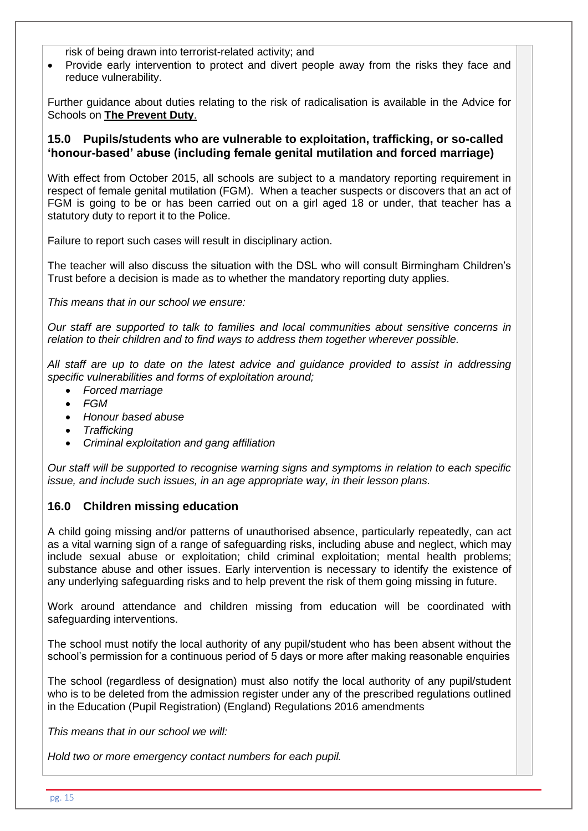risk of being drawn into terrorist-related activity; and

• Provide early intervention to protect and divert people away from the risks they face and reduce vulnerability.

Further guidance about duties relating to the risk of radicalisation is available in the Advice for Schools on **[The Prevent Duty](https://www.gov.uk/government/publications/protecting-children-from-radicalisation-the-prevent-duty)**.

#### **15.0 Pupils/students who are vulnerable to exploitation, trafficking, or so-called 'honour-based' abuse (including female genital mutilation and forced marriage)**

With effect from October 2015, all schools are subject to a mandatory reporting requirement in respect of female genital mutilation (FGM). When a teacher suspects or discovers that an act of FGM is going to be or has been carried out on a girl aged 18 or under, that teacher has a statutory duty to report it to the Police.

Failure to report such cases will result in disciplinary action.

The teacher will also discuss the situation with the DSL who will consult Birmingham Children's Trust before a decision is made as to whether the mandatory reporting duty applies.

*This means that in our school we ensure:*

*Our staff are supported to talk to families and local communities about sensitive concerns in relation to their children and to find ways to address them together wherever possible.*

*All staff are up to date on the latest advice and guidance provided to assist in addressing specific vulnerabilities and forms of exploitation around;*

- *Forced marriage*
- *FGM*
- *Honour based abuse*
- *Trafficking*
- *Criminal exploitation and gang affiliation*

*Our staff will be supported to recognise warning signs and symptoms in relation to each specific issue, and include such issues, in an age appropriate way, in their lesson plans.*

#### **16.0 Children missing education**

A child going missing and/or patterns of unauthorised absence, particularly repeatedly, can act as a vital warning sign of a range of safeguarding risks, including abuse and neglect, which may include sexual abuse or exploitation; child criminal exploitation; mental health problems; substance abuse and other issues. Early intervention is necessary to identify the existence of any underlying safeguarding risks and to help prevent the risk of them going missing in future.

Work around attendance and children missing from education will be coordinated with safeguarding interventions.

The school must notify the local authority of any pupil/student who has been absent without the school's permission for a continuous period of 5 days or more after making reasonable enquiries

The school (regardless of designation) must also notify the local authority of any pupil/student who is to be deleted from the admission register under any of the prescribed regulations outlined in the Education (Pupil Registration) (England) Regulations 2016 amendments

*This means that in our school we will:*

*Hold two or more emergency contact numbers for each pupil.*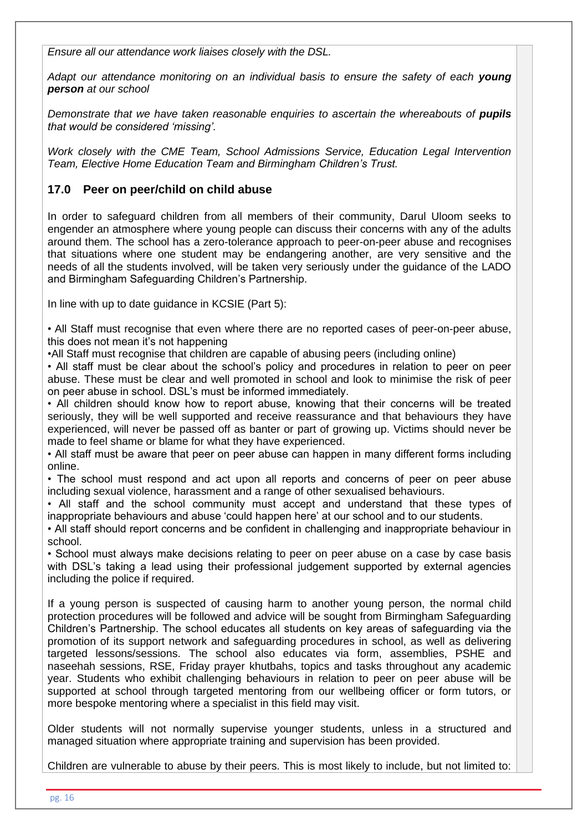*Ensure all our attendance work liaises closely with the DSL.*

*Adapt our attendance monitoring on an individual basis to ensure the safety of each young person at our school* 

*Demonstrate that we have taken reasonable enquiries to ascertain the whereabouts of pupils that would be considered 'missing'.*

*Work closely with the CME Team, School Admissions Service, Education Legal Intervention Team, Elective Home Education Team and Birmingham Children's Trust.*

## **17.0 Peer on peer/child on child abuse**

In order to safeguard children from all members of their community, Darul Uloom seeks to engender an atmosphere where young people can discuss their concerns with any of the adults around them. The school has a zero-tolerance approach to peer-on-peer abuse and recognises that situations where one student may be endangering another, are very sensitive and the needs of all the students involved, will be taken very seriously under the guidance of the LADO and Birmingham Safeguarding Children's Partnership.

In line with up to date guidance in KCSIE (Part 5):

• All Staff must recognise that even where there are no reported cases of peer-on-peer abuse, this does not mean it's not happening

•All Staff must recognise that children are capable of abusing peers (including online)

• All staff must be clear about the school's policy and procedures in relation to peer on peer abuse. These must be clear and well promoted in school and look to minimise the risk of peer on peer abuse in school. DSL's must be informed immediately.

• All children should know how to report abuse, knowing that their concerns will be treated seriously, they will be well supported and receive reassurance and that behaviours they have experienced, will never be passed off as banter or part of growing up. Victims should never be made to feel shame or blame for what they have experienced.

• All staff must be aware that peer on peer abuse can happen in many different forms including online.

• The school must respond and act upon all reports and concerns of peer on peer abuse including sexual violence, harassment and a range of other sexualised behaviours.

• All staff and the school community must accept and understand that these types of inappropriate behaviours and abuse 'could happen here' at our school and to our students.

• All staff should report concerns and be confident in challenging and inappropriate behaviour in school.

• School must always make decisions relating to peer on peer abuse on a case by case basis with DSL's taking a lead using their professional judgement supported by external agencies including the police if required.

If a young person is suspected of causing harm to another young person, the normal child protection procedures will be followed and advice will be sought from Birmingham Safeguarding Children's Partnership. The school educates all students on key areas of safeguarding via the promotion of its support network and safeguarding procedures in school, as well as delivering targeted lessons/sessions. The school also educates via form, assemblies, PSHE and naseehah sessions, RSE, Friday prayer khutbahs, topics and tasks throughout any academic year. Students who exhibit challenging behaviours in relation to peer on peer abuse will be supported at school through targeted mentoring from our wellbeing officer or form tutors, or more bespoke mentoring where a specialist in this field may visit.

Older students will not normally supervise younger students, unless in a structured and managed situation where appropriate training and supervision has been provided.

Children are vulnerable to abuse by their peers. This is most likely to include, but not limited to: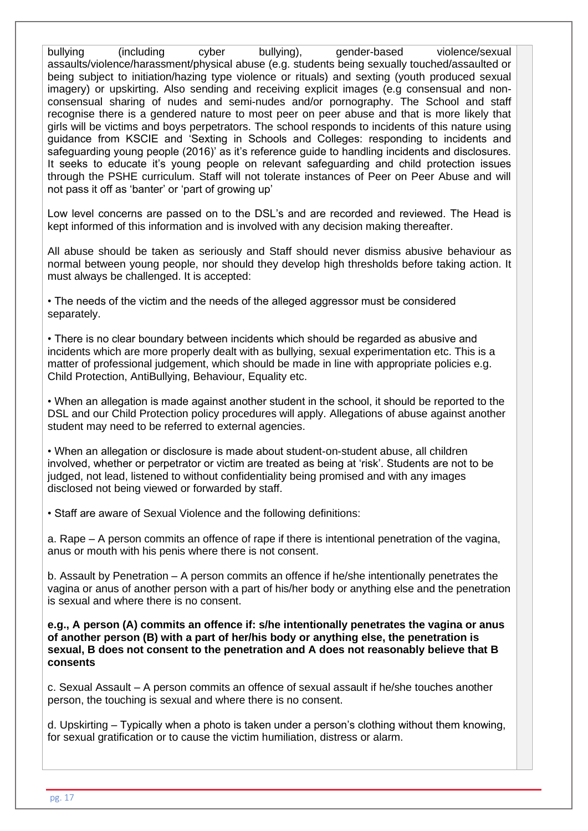bullying (including cyber bullying), gender-based violence/sexual assaults/violence/harassment/physical abuse (e.g. students being sexually touched/assaulted or being subject to initiation/hazing type violence or rituals) and sexting (youth produced sexual imagery) or upskirting. Also sending and receiving explicit images (e.g consensual and nonconsensual sharing of nudes and semi-nudes and/or pornography. The School and staff recognise there is a gendered nature to most peer on peer abuse and that is more likely that girls will be victims and boys perpetrators. The school responds to incidents of this nature using guidance from KSCIE and 'Sexting in Schools and Colleges: responding to incidents and safeguarding young people (2016)' as it's reference guide to handling incidents and disclosures. It seeks to educate it's young people on relevant safeguarding and child protection issues through the PSHE curriculum. Staff will not tolerate instances of Peer on Peer Abuse and will not pass it off as 'banter' or 'part of growing up'

Low level concerns are passed on to the DSL's and are recorded and reviewed. The Head is kept informed of this information and is involved with any decision making thereafter.

All abuse should be taken as seriously and Staff should never dismiss abusive behaviour as normal between young people, nor should they develop high thresholds before taking action. It must always be challenged. It is accepted:

• The needs of the victim and the needs of the alleged aggressor must be considered separately.

• There is no clear boundary between incidents which should be regarded as abusive and incidents which are more properly dealt with as bullying, sexual experimentation etc. This is a matter of professional judgement, which should be made in line with appropriate policies e.g. Child Protection, AntiBullying, Behaviour, Equality etc.

• When an allegation is made against another student in the school, it should be reported to the DSL and our Child Protection policy procedures will apply. Allegations of abuse against another student may need to be referred to external agencies.

• When an allegation or disclosure is made about student-on-student abuse, all children involved, whether or perpetrator or victim are treated as being at 'risk'. Students are not to be judged, not lead, listened to without confidentiality being promised and with any images disclosed not being viewed or forwarded by staff.

• Staff are aware of Sexual Violence and the following definitions:

a. Rape – A person commits an offence of rape if there is intentional penetration of the vagina, anus or mouth with his penis where there is not consent.

b. Assault by Penetration – A person commits an offence if he/she intentionally penetrates the vagina or anus of another person with a part of his/her body or anything else and the penetration is sexual and where there is no consent.

**e.g., A person (A) commits an offence if: s/he intentionally penetrates the vagina or anus of another person (B) with a part of her/his body or anything else, the penetration is sexual, B does not consent to the penetration and A does not reasonably believe that B consents**

c. Sexual Assault – A person commits an offence of sexual assault if he/she touches another person, the touching is sexual and where there is no consent.

d. Upskirting – Typically when a photo is taken under a person's clothing without them knowing, for sexual gratification or to cause the victim humiliation, distress or alarm.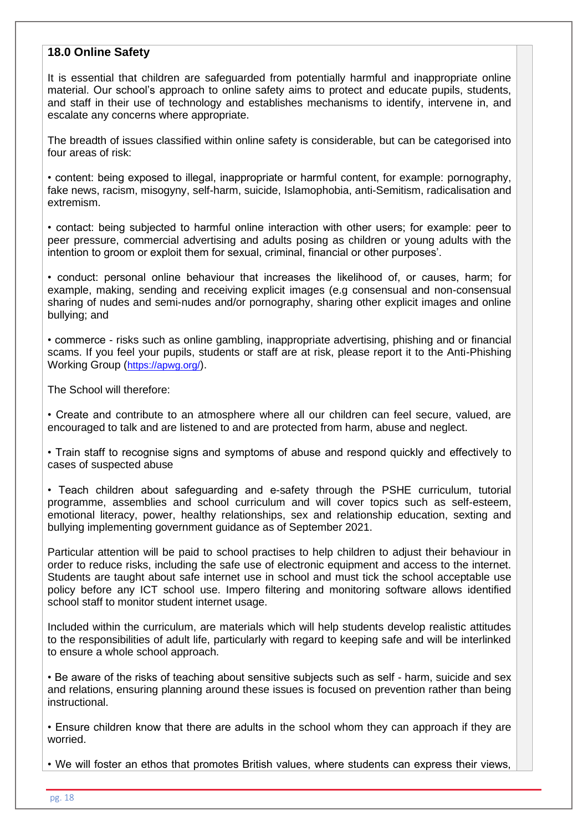#### **18.0 Online Safety**

It is essential that children are safeguarded from potentially harmful and inappropriate online material. Our school's approach to online safety aims to protect and educate pupils, students, and staff in their use of technology and establishes mechanisms to identify, intervene in, and escalate any concerns where appropriate.

The breadth of issues classified within online safety is considerable, but can be categorised into four areas of risk:

• content: being exposed to illegal, inappropriate or harmful content, for example: pornography, fake news, racism, misogyny, self-harm, suicide, Islamophobia, anti-Semitism, radicalisation and extremism.

• contact: being subjected to harmful online interaction with other users; for example: peer to peer pressure, commercial advertising and adults posing as children or young adults with the intention to groom or exploit them for sexual, criminal, financial or other purposes'.

• conduct: personal online behaviour that increases the likelihood of, or causes, harm; for example, making, sending and receiving explicit images (e.g consensual and non-consensual sharing of nudes and semi-nudes and/or pornography, sharing other explicit images and online bullying; and

• commerce - risks such as online gambling, inappropriate advertising, phishing and or financial scams. If you feel your pupils, students or staff are at risk, please report it to the Anti-Phishing Working Group (<https://apwg.org/>).

The School will therefore:

• Create and contribute to an atmosphere where all our children can feel secure, valued, are encouraged to talk and are listened to and are protected from harm, abuse and neglect.

• Train staff to recognise signs and symptoms of abuse and respond quickly and effectively to cases of suspected abuse

• Teach children about safeguarding and e-safety through the PSHE curriculum, tutorial programme, assemblies and school curriculum and will cover topics such as self-esteem, emotional literacy, power, healthy relationships, sex and relationship education, sexting and bullying implementing government guidance as of September 2021.

Particular attention will be paid to school practises to help children to adjust their behaviour in order to reduce risks, including the safe use of electronic equipment and access to the internet. Students are taught about safe internet use in school and must tick the school acceptable use policy before any ICT school use. Impero filtering and monitoring software allows identified school staff to monitor student internet usage.

Included within the curriculum, are materials which will help students develop realistic attitudes to the responsibilities of adult life, particularly with regard to keeping safe and will be interlinked to ensure a whole school approach.

• Be aware of the risks of teaching about sensitive subjects such as self - harm, suicide and sex and relations, ensuring planning around these issues is focused on prevention rather than being instructional.

• Ensure children know that there are adults in the school whom they can approach if they are worried.

• We will foster an ethos that promotes British values, where students can express their views,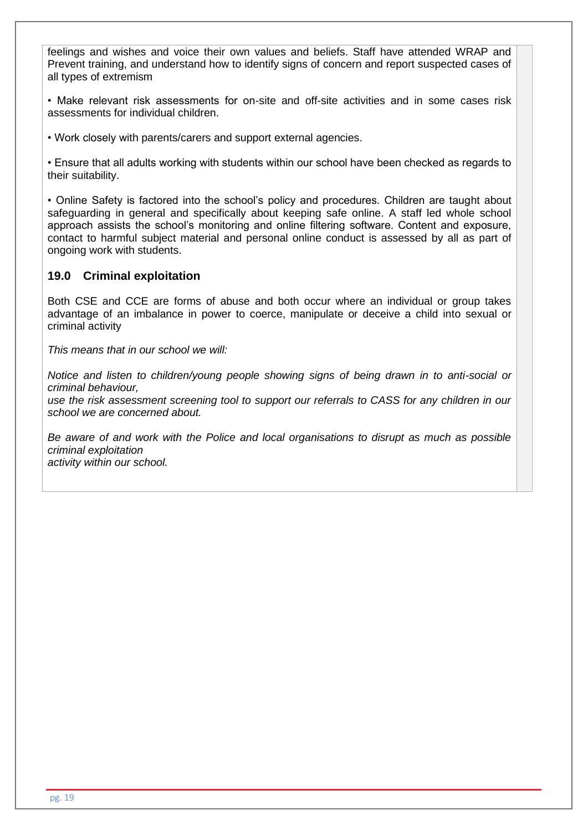feelings and wishes and voice their own values and beliefs. Staff have attended WRAP and Prevent training, and understand how to identify signs of concern and report suspected cases of all types of extremism

• Make relevant risk assessments for on-site and off-site activities and in some cases risk assessments for individual children.

• Work closely with parents/carers and support external agencies.

• Ensure that all adults working with students within our school have been checked as regards to their suitability.

• Online Safety is factored into the school's policy and procedures. Children are taught about safeguarding in general and specifically about keeping safe online. A staff led whole school approach assists the school's monitoring and online filtering software. Content and exposure, contact to harmful subject material and personal online conduct is assessed by all as part of ongoing work with students.

## **19.0 Criminal exploitation**

Both CSE and CCE are forms of abuse and both occur where an individual or group takes advantage of an imbalance in power to coerce, manipulate or deceive a child into sexual or criminal activity

*This means that in our school we will:* 

*Notice and listen to children/young people showing signs of being drawn in to anti-social or criminal behaviour,* 

*use the risk assessment screening tool to support our referrals to CASS for any children in our school we are concerned about.*

*Be aware of and work with the Police and local organisations to disrupt as much as possible criminal exploitation activity within our school.*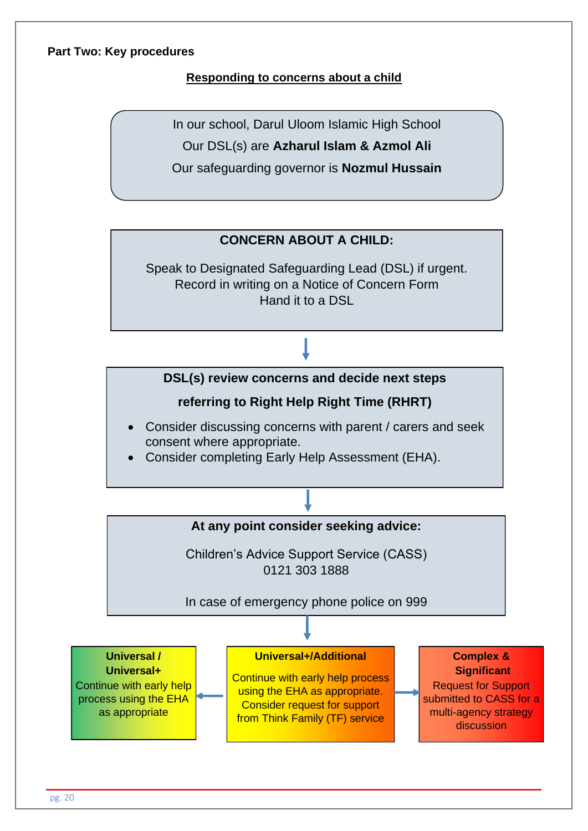#### **Part Two: Key procedures**

## **Responding to concerns about a child**

In our school, Darul Uloom Islamic High School

Our DSL(s) are **Azharul Islam & Azmol Ali**

Our safeguarding governor is **Nozmul Hussain** 

# **CONCERN ABOUT A CHILD:**

Speak to Designated Safeguarding Lead (DSL) if urgent. Record in writing on a Notice of Concern Form Hand it to a DSL



# **referring to Right Help Right Time (RHRT)**

- Consider discussing concerns with parent / carers and seek consent where appropriate.
- Consider completing Early Help Assessment (EHA).



Record on Electronic recording system or in writing on. Notice of Concern Form.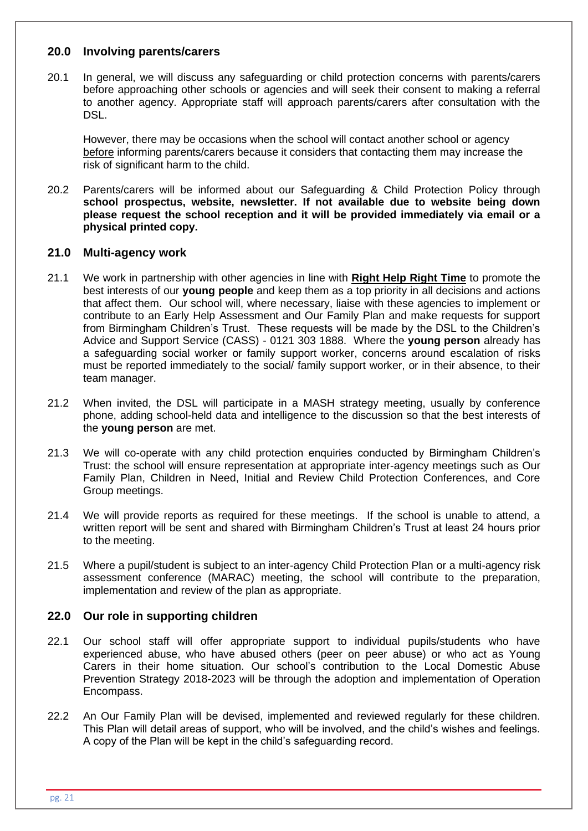#### **20.0 Involving parents/carers**

20.1 In general, we will discuss any safeguarding or child protection concerns with parents/carers before approaching other schools or agencies and will seek their consent to making a referral to another agency. Appropriate staff will approach parents/carers after consultation with the DSL.

However, there may be occasions when the school will contact another school or agency before informing parents/carers because it considers that contacting them may increase the risk of significant harm to the child.

20.2 Parents/carers will be informed about our Safeguarding & Child Protection Policy through **school prospectus, website, newsletter. If not available due to website being down please request the school reception and it will be provided immediately via email or a physical printed copy.** 

#### **21.0 Multi-agency work**

- 21.1 We work in partnership with other agencies in line with **[Right Help Right Time](http://www.lscpbirmingham.org.uk/index.php/delivering-effective-support)** to promote the best interests of our **young people** and keep them as a top priority in all decisions and actions that affect them. Our school will, where necessary, liaise with these agencies to implement or contribute to an Early Help Assessment and Our Family Plan and make requests for support from Birmingham Children's Trust. These requests will be made by the DSL to the Children's Advice and Support Service (CASS) - 0121 303 1888. Where the **young person** already has a safeguarding social worker or family support worker, concerns around escalation of risks must be reported immediately to the social/ family support worker, or in their absence, to their team manager.
- 21.2 When invited, the DSL will participate in a MASH strategy meeting, usually by conference phone, adding school-held data and intelligence to the discussion so that the best interests of the **young person** are met.
- 21.3 We will co-operate with any child protection enquiries conducted by Birmingham Children's Trust: the school will ensure representation at appropriate inter-agency meetings such as Our Family Plan, Children in Need, Initial and Review Child Protection Conferences, and Core Group meetings.
- 21.4 We will provide reports as required for these meetings. If the school is unable to attend, a written report will be sent and shared with Birmingham Children's Trust at least 24 hours prior to the meeting.
- 21.5 Where a pupil/student is subject to an inter-agency Child Protection Plan or a multi-agency risk assessment conference (MARAC) meeting, the school will contribute to the preparation, implementation and review of the plan as appropriate.

#### **22.0 Our role in supporting children**

- 22.1 Our school staff will offer appropriate support to individual pupils/students who have experienced abuse, who have abused others (peer on peer abuse) or who act as Young Carers in their home situation. Our school's contribution to the Local Domestic Abuse Prevention Strategy 2018-2023 will be through the adoption and implementation of Operation Encompass.
- 22.2 An Our Family Plan will be devised, implemented and reviewed regularly for these children. This Plan will detail areas of support, who will be involved, and the child's wishes and feelings. A copy of the Plan will be kept in the child's safeguarding record.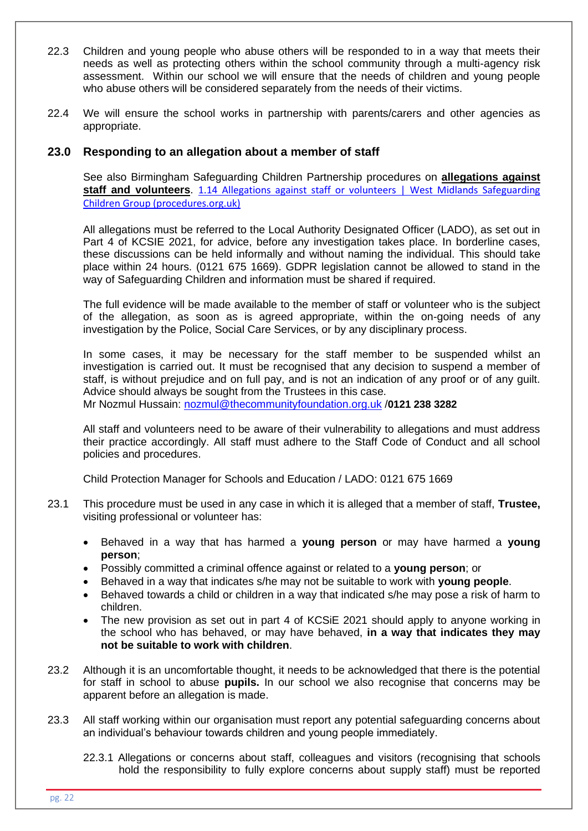- 22.3 Children and young people who abuse others will be responded to in a way that meets their needs as well as protecting others within the school community through a multi-agency risk assessment. Within our school we will ensure that the needs of children and young people who abuse others will be considered separately from the needs of their victims.
- 22.4 We will ensure the school works in partnership with parents/carers and other agencies as appropriate.

#### **23.0 Responding to an allegation about a member of staff**

See also Birmingham Safeguarding Children Partnership procedures on **[allegations against](http://westmidlands.procedures.org.uk/ykpzy/statutory-child-protection-procedures/allegations-against-staff-or-volunteers)  [staff and volunteers](http://westmidlands.procedures.org.uk/ykpzy/statutory-child-protection-procedures/allegations-against-staff-or-volunteers)**. [1.14 Allegations against staff or volunteers | West Midlands Safeguarding](https://westmidlands.procedures.org.uk/ykpzy/statutory-child-protection-procedures/allegations-against-staff-or-volunteers)  [Children Group \(procedures.org.uk\)](https://westmidlands.procedures.org.uk/ykpzy/statutory-child-protection-procedures/allegations-against-staff-or-volunteers)

All allegations must be referred to the Local Authority Designated Officer (LADO), as set out in Part 4 of KCSIE 2021, for advice, before any investigation takes place. In borderline cases, these discussions can be held informally and without naming the individual. This should take place within 24 hours. (0121 675 1669). GDPR legislation cannot be allowed to stand in the way of Safeguarding Children and information must be shared if required.

The full evidence will be made available to the member of staff or volunteer who is the subject of the allegation, as soon as is agreed appropriate, within the on-going needs of any investigation by the Police, Social Care Services, or by any disciplinary process.

In some cases, it may be necessary for the staff member to be suspended whilst an investigation is carried out. It must be recognised that any decision to suspend a member of staff, is without prejudice and on full pay, and is not an indication of any proof or of any guilt. Advice should always be sought from the Trustees in this case. Mr Nozmul Hussain: [nozmul@thecommunityfoundation.org.uk](mailto:nozmul@thecommunityfoundation.org.uk) /**0121 238 3282**

All staff and volunteers need to be aware of their vulnerability to allegations and must address their practice accordingly. All staff must adhere to the Staff Code of Conduct and all school policies and procedures.

Child Protection Manager for Schools and Education / LADO: 0121 675 1669

- 23.1 This procedure must be used in any case in which it is alleged that a member of staff, **Trustee,** visiting professional or volunteer has:
	- Behaved in a way that has harmed a **young person** or may have harmed a **young person**;
	- Possibly committed a criminal offence against or related to a **young person**; or
	- Behaved in a way that indicates s/he may not be suitable to work with **young people**.
	- Behaved towards a child or children in a way that indicated s/he may pose a risk of harm to children.
	- The new provision as set out in part 4 of KCSiE 2021 should apply to anyone working in the school who has behaved, or may have behaved, **in a way that indicates they may not be suitable to work with children**.
- 23.2 Although it is an uncomfortable thought, it needs to be acknowledged that there is the potential for staff in school to abuse **pupils.** In our school we also recognise that concerns may be apparent before an allegation is made.
- 23.3 All staff working within our organisation must report any potential safeguarding concerns about an individual's behaviour towards children and young people immediately.
	- 22.3.1 Allegations or concerns about staff, colleagues and visitors (recognising that schools hold the responsibility to fully explore concerns about supply staff) must be reported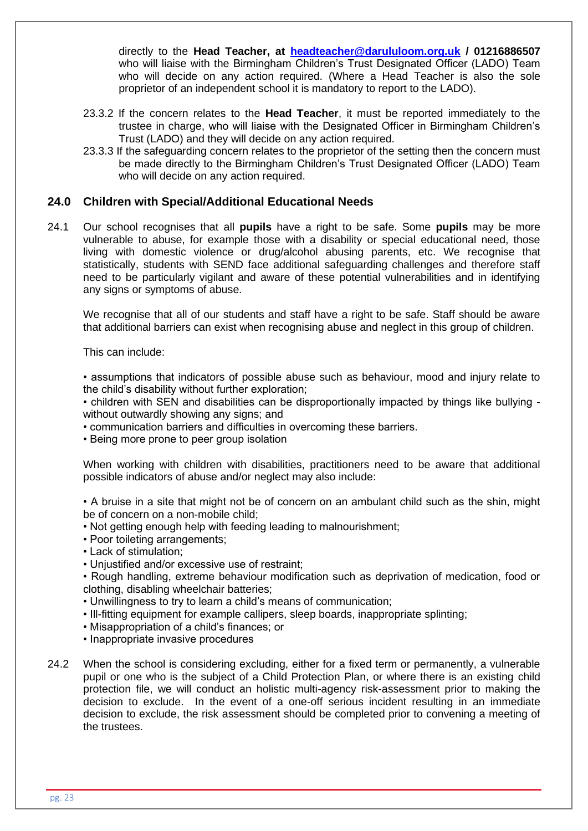directly to the **Head Teacher, at [headteacher@darululoom.org.uk](mailto:headteacher@darululoom.org.uk) / 01216886507**  who will liaise with the Birmingham Children's Trust Designated Officer (LADO) Team who will decide on any action required. (Where a Head Teacher is also the sole proprietor of an independent school it is mandatory to report to the LADO).

- 23.3.2 If the concern relates to the **Head Teacher**, it must be reported immediately to the trustee in charge, who will liaise with the Designated Officer in Birmingham Children's Trust (LADO) and they will decide on any action required.
- 23.3.3 If the safeguarding concern relates to the proprietor of the setting then the concern must be made directly to the Birmingham Children's Trust Designated Officer (LADO) Team who will decide on any action required.

#### **24.0 Children with Special/Additional Educational Needs**

24.1 Our school recognises that all **pupils** have a right to be safe. Some **pupils** may be more vulnerable to abuse, for example those with a disability or special educational need, those living with domestic violence or drug/alcohol abusing parents, etc. We recognise that statistically, students with SEND face additional safeguarding challenges and therefore staff need to be particularly vigilant and aware of these potential vulnerabilities and in identifying any signs or symptoms of abuse.

We recognise that all of our students and staff have a right to be safe. Staff should be aware that additional barriers can exist when recognising abuse and neglect in this group of children.

This can include:

• assumptions that indicators of possible abuse such as behaviour, mood and injury relate to the child's disability without further exploration;

• children with SEN and disabilities can be disproportionally impacted by things like bullying without outwardly showing any signs; and

• communication barriers and difficulties in overcoming these barriers.

• Being more prone to peer group isolation

When working with children with disabilities, practitioners need to be aware that additional possible indicators of abuse and/or neglect may also include:

• A bruise in a site that might not be of concern on an ambulant child such as the shin, might be of concern on a non-mobile child;

- Not getting enough help with feeding leading to malnourishment;
- Poor toileting arrangements;
- Lack of stimulation;
- Unjustified and/or excessive use of restraint;
- Rough handling, extreme behaviour modification such as deprivation of medication, food or clothing, disabling wheelchair batteries;
- Unwillingness to try to learn a child's means of communication;
- Ill-fitting equipment for example callipers, sleep boards, inappropriate splinting;
- Misappropriation of a child's finances; or
- Inappropriate invasive procedures
- 24.2 When the school is considering excluding, either for a fixed term or permanently, a vulnerable pupil or one who is the subject of a Child Protection Plan, or where there is an existing child protection file, we will conduct an holistic multi-agency risk-assessment prior to making the decision to exclude. In the event of a one-off serious incident resulting in an immediate decision to exclude, the risk assessment should be completed prior to convening a meeting of the trustees.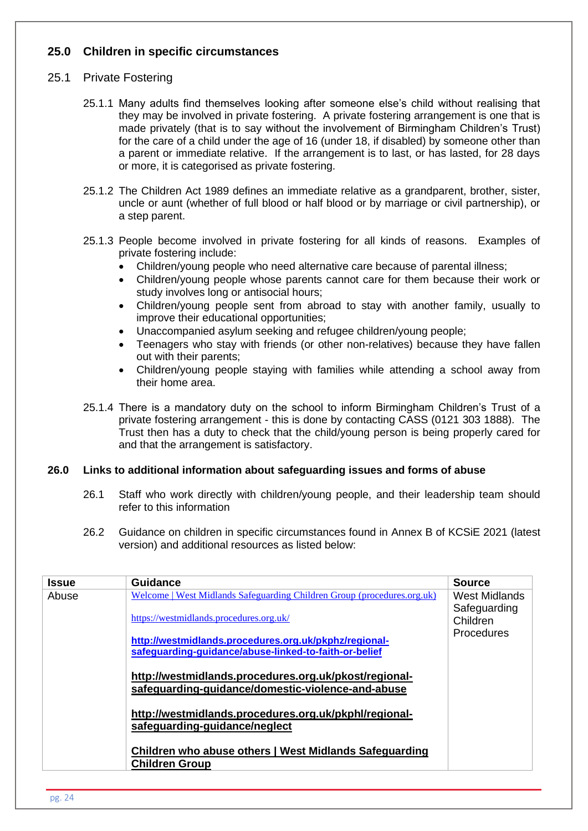## **25.0 Children in specific circumstances**

## 25.1 Private Fostering

- 25.1.1 Many adults find themselves looking after someone else's child without realising that they may be involved in private fostering. A private fostering arrangement is one that is made privately (that is to say without the involvement of Birmingham Children's Trust) for the care of a child under the age of 16 (under 18, if disabled) by someone other than a parent or immediate relative. If the arrangement is to last, or has lasted, for 28 days or more, it is categorised as private fostering.
- 25.1.2 The Children Act 1989 defines an immediate relative as a grandparent, brother, sister, uncle or aunt (whether of full blood or half blood or by marriage or civil partnership), or a step parent.
- 25.1.3 People become involved in private fostering for all kinds of reasons. Examples of private fostering include:
	- Children/young people who need alternative care because of parental illness:
	- Children/young people whose parents cannot care for them because their work or study involves long or antisocial hours;
	- Children/young people sent from abroad to stay with another family, usually to improve their educational opportunities;
	- Unaccompanied asylum seeking and refugee children/young people;
	- Teenagers who stay with friends (or other non-relatives) because they have fallen out with their parents;
	- Children/young people staying with families while attending a school away from their home area.
- 25.1.4 There is a mandatory duty on the school to inform Birmingham Children's Trust of a private fostering arrangement - this is done by contacting CASS (0121 303 1888). The Trust then has a duty to check that the child/young person is being properly cared for and that the arrangement is satisfactory.

#### **26.0 Links to additional information about safeguarding issues and forms of abuse**

- 26.1 Staff who work directly with children/young people, and their leadership team should refer to this information
- 26.2 Guidance on children in specific circumstances found in Annex B of KCSiE 2021 (latest version) and additional resources as listed below:

| <b>Issue</b> | Guidance                                                                                                       | <b>Source</b>            |
|--------------|----------------------------------------------------------------------------------------------------------------|--------------------------|
| Abuse        | Welcome   West Midlands Safeguarding Children Group (procedures.org.uk)                                        | West Midlands            |
|              | https://westmidlands.procedures.org.uk/                                                                        | Safeguarding<br>Children |
|              | http://westmidlands.procedures.org.uk/pkphz/regional-<br>safeguarding-guidance/abuse-linked-to-faith-or-belief | <b>Procedures</b>        |
|              | http://westmidlands.procedures.org.uk/pkost/regional-<br>safeguarding-guidance/domestic-violence-and-abuse     |                          |
|              | http://westmidlands.procedures.org.uk/pkphl/regional-<br>safeguarding-guidance/neglect                         |                          |
|              | Children who abuse others   West Midlands Safeguarding<br><b>Children Group</b>                                |                          |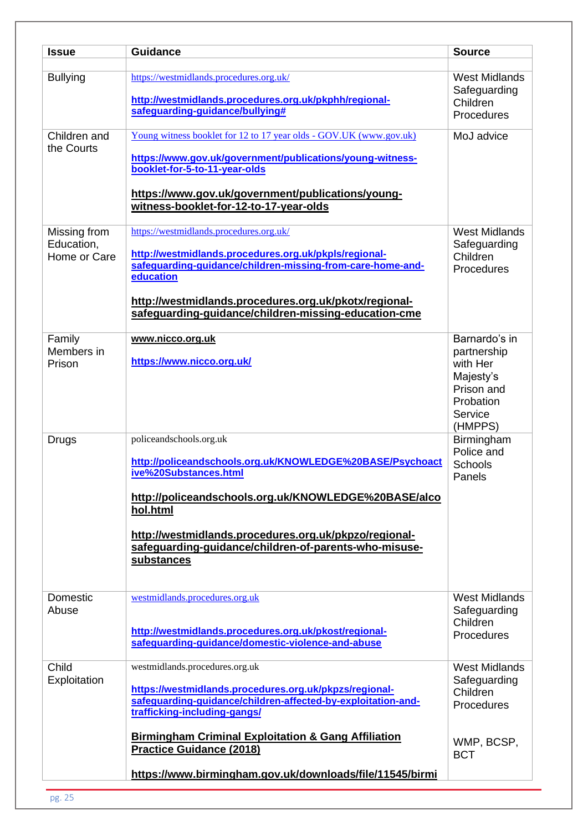| <b>Issue</b>                               | <b>Guidance</b>                                                                                                                                                                                                                                                                                                   | <b>Source</b>                                                                                          |
|--------------------------------------------|-------------------------------------------------------------------------------------------------------------------------------------------------------------------------------------------------------------------------------------------------------------------------------------------------------------------|--------------------------------------------------------------------------------------------------------|
| <b>Bullying</b>                            | https://westmidlands.procedures.org.uk/<br>http://westmidlands.procedures.org.uk/pkphh/regional-<br>safeguarding-guidance/bullying#                                                                                                                                                                               | <b>West Midlands</b><br>Safeguarding<br>Children<br>Procedures                                         |
| Children and<br>the Courts                 | Young witness booklet for 12 to 17 year olds - GOV.UK (www.gov.uk)<br>https://www.gov.uk/government/publications/young-witness-<br>booklet-for-5-to-11-year-olds<br>https://www.gov.uk/government/publications/young-<br>witness-booklet-for-12-to-17-year-olds                                                   | MoJ advice                                                                                             |
| Missing from<br>Education,<br>Home or Care | https://westmidlands.procedures.org.uk/<br>http://westmidlands.procedures.org.uk/pkpls/regional-<br>safeguarding-guidance/children-missing-from-care-home-and-<br>education<br>http://westmidlands.procedures.org.uk/pkotx/regional-<br>safeguarding-guidance/children-missing-education-cme                      | <b>West Midlands</b><br>Safeguarding<br>Children<br>Procedures                                         |
| Family<br>Members in<br>Prison             | www.nicco.org.uk<br>https://www.nicco.org.uk/                                                                                                                                                                                                                                                                     | Barnardo's in<br>partnership<br>with Her<br>Majesty's<br>Prison and<br>Probation<br>Service<br>(HMPPS) |
| Drugs                                      | policeandschools.org.uk<br>http://policeandschools.org.uk/KNOWLEDGE%20BASE/Psychoact<br>ive%20Substances.html<br>http://policeandschools.org.uk/KNOWLEDGE%20BASE/alco<br>hol.html<br>http://westmidlands.procedures.org.uk/pkpzo/regional-<br>safeguarding-guidance/children-of-parents-who-misuse-<br>substances | Birmingham<br>Police and<br><b>Schools</b><br>Panels                                                   |
| Domestic<br>Abuse                          | westmidlands.procedures.org.uk<br>http://westmidlands.procedures.org.uk/pkost/regional-<br>safeguarding-guidance/domestic-violence-and-abuse                                                                                                                                                                      | <b>West Midlands</b><br>Safeguarding<br>Children<br>Procedures                                         |
| Child<br>Exploitation                      | westmidlands.procedures.org.uk<br>https://westmidlands.procedures.org.uk/pkpzs/regional-<br>safeguarding-guidance/children-affected-by-exploitation-and-<br>trafficking-including-gangs/<br><b>Birmingham Criminal Exploitation &amp; Gang Affiliation</b>                                                        | <b>West Midlands</b><br>Safeguarding<br>Children<br>Procedures                                         |
|                                            |                                                                                                                                                                                                                                                                                                                   | WMP, BCSP,                                                                                             |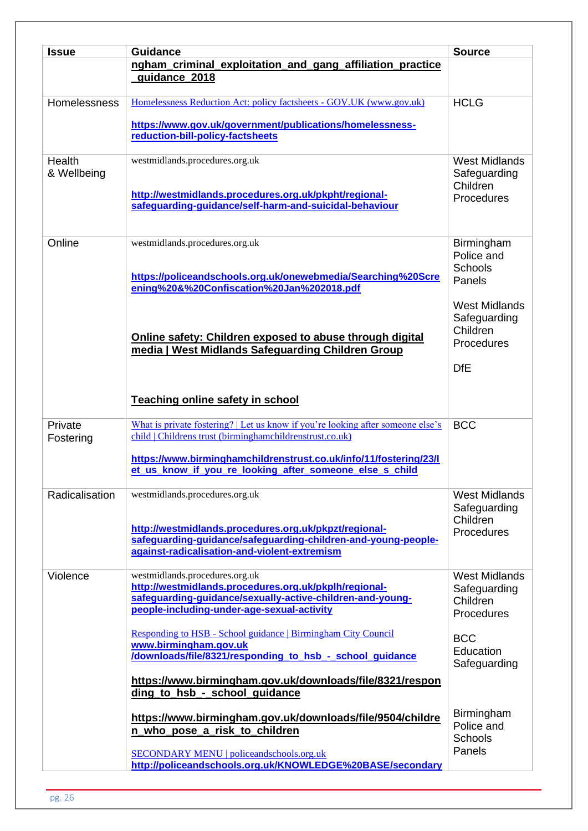| <b>Issue</b>          | <b>Guidance</b>                                                                                                                                                                                    | <b>Source</b>                                                  |  |
|-----------------------|----------------------------------------------------------------------------------------------------------------------------------------------------------------------------------------------------|----------------------------------------------------------------|--|
|                       | ngham_criminal_exploitation_and_gang_affiliation_practice<br>guidance 2018                                                                                                                         |                                                                |  |
| Homelessness          | Homelessness Reduction Act: policy factsheets - GOV.UK (www.gov.uk)                                                                                                                                | <b>HCLG</b>                                                    |  |
|                       | https://www.gov.uk/government/publications/homelessness-<br>reduction-bill-policy-factsheets                                                                                                       |                                                                |  |
| Health<br>& Wellbeing | westmidlands.procedures.org.uk                                                                                                                                                                     | <b>West Midlands</b><br>Safeguarding<br>Children               |  |
|                       | http://westmidlands.procedures.org.uk/pkpht/regional-<br>safeguarding-guidance/self-harm-and-suicidal-behaviour                                                                                    | Procedures                                                     |  |
| Online                | westmidlands.procedures.org.uk                                                                                                                                                                     | Birmingham<br>Police and<br><b>Schools</b>                     |  |
|                       | https://policeandschools.org.uk/onewebmedia/Searching%20Scre<br>ening%20&%20Confiscation%20Jan%202018.pdf                                                                                          | Panels                                                         |  |
|                       |                                                                                                                                                                                                    | <b>West Midlands</b><br>Safeguarding                           |  |
|                       | Online safety: Children exposed to abuse through digital<br>media   West Midlands Safeguarding Children Group                                                                                      | Children<br>Procedures                                         |  |
|                       |                                                                                                                                                                                                    | <b>DfE</b>                                                     |  |
|                       | <b>Teaching online safety in school</b>                                                                                                                                                            |                                                                |  |
| Private<br>Fostering  | What is private fostering?   Let us know if you're looking after someone else's<br>child   Childrens trust (birminghamchildrenstrust.co.uk)                                                        | <b>BCC</b>                                                     |  |
|                       | https://www.birminghamchildrenstrust.co.uk/info/11/fostering/23/l<br>et_us_know_if_you_re_looking_after_someone_else_s_child                                                                       |                                                                |  |
| Radicalisation        | westmidlands.procedures.org.uk                                                                                                                                                                     | <b>West Midlands</b><br>Safeguarding                           |  |
|                       | http://westmidlands.procedures.org.uk/pkpzt/regional-<br>safeguarding-guidance/safeguarding-children-and-young-people-<br>against-radicalisation-and-violent-extremism                             | Children<br>Procedures                                         |  |
| Violence              | westmidlands.procedures.org.uk<br>http://westmidlands.procedures.org.uk/pkplh/regional-<br>safeguarding-guidance/sexually-active-children-and-young-<br>people-including-under-age-sexual-activity | <b>West Midlands</b><br>Safeguarding<br>Children<br>Procedures |  |
|                       | Responding to HSB - School guidance   Birmingham City Council<br>www.birmingham.gov.uk<br>/downloads/file/8321/responding_to_hsb_-_school_guidance                                                 | <b>BCC</b><br>Education                                        |  |
|                       | https://www.birmingham.gov.uk/downloads/file/8321/respon<br>ding to hsb - school guidance                                                                                                          | Safeguarding                                                   |  |
|                       | https://www.birmingham.gov.uk/downloads/file/9504/childre<br>n who pose a risk to children                                                                                                         | <b>Birmingham</b><br>Police and<br>Schools                     |  |
|                       | <b>SECONDARY MENU   policeandschools.org.uk</b><br>http://policeandschools.org.uk/KNOWLEDGE%20BASE/secondary                                                                                       | Panels                                                         |  |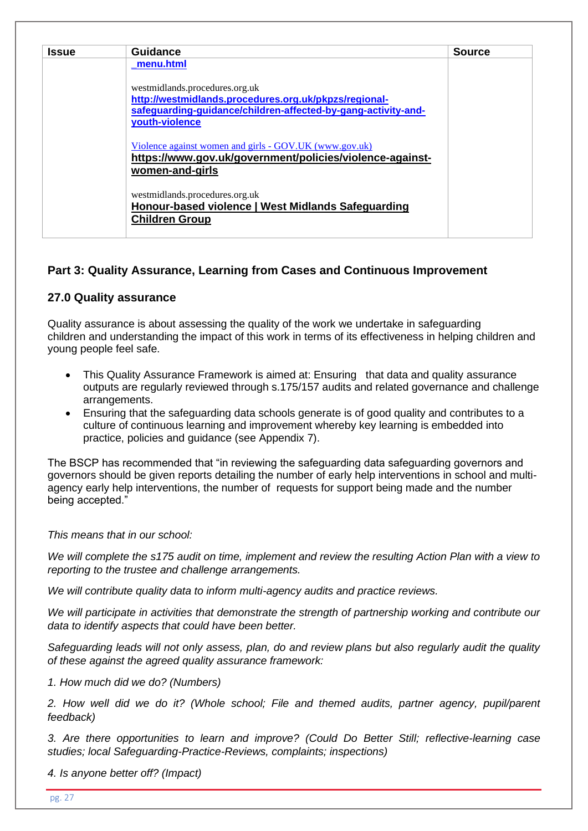| <b>Issue</b> | <b>Guidance</b>                                               | <b>Source</b> |
|--------------|---------------------------------------------------------------|---------------|
|              | menu.html                                                     |               |
|              | westmidlands.procedures.org.uk                                |               |
|              | http://westmidlands.procedures.org.uk/pkpzs/regional-         |               |
|              | safeguarding-guidance/children-affected-by-gang-activity-and- |               |
|              | youth-violence                                                |               |
|              | Violence against women and girls - GOV.UK (www.gov.uk)        |               |
|              | https://www.gov.uk/government/policies/violence-against-      |               |
|              | women-and-girls                                               |               |
|              | westmidlands.procedures.org.uk                                |               |
|              | Honour-based violence   West Midlands Safeguarding            |               |
|              | <b>Children Group</b>                                         |               |

# **Part 3: Quality Assurance, Learning from Cases and Continuous Improvement**

## **27.0 Quality assurance**

Quality assurance is about assessing the quality of the work we undertake in safeguarding children and understanding the impact of this work in terms of its effectiveness in helping children and young people feel safe.

- This Quality Assurance Framework is aimed at: Ensuring that data and quality assurance outputs are regularly reviewed through s.175/157 audits and related governance and challenge arrangements.
- Ensuring that the safeguarding data schools generate is of good quality and contributes to a culture of continuous learning and improvement whereby key learning is embedded into practice, policies and guidance (see Appendix 7).

The BSCP has recommended that "in reviewing the safeguarding data safeguarding governors and governors should be given reports detailing the number of early help interventions in school and multiagency early help interventions, the number of requests for support being made and the number being accepted."

#### *This means that in our school:*

*We will complete the s175 audit on time, implement and review the resulting Action Plan with a view to reporting to the trustee and challenge arrangements.*

*We will contribute quality data to inform multi-agency audits and practice reviews.*

*We will participate in activities that demonstrate the strength of partnership working and contribute our data to identify aspects that could have been better.*

*Safeguarding leads will not only assess, plan, do and review plans but also regularly audit the quality of these against the agreed quality assurance framework:*

*1. How much did we do? (Numbers)*

*2. How well did we do it? (Whole school; File and themed audits, partner agency, pupil/parent feedback)*

*3. Are there opportunities to learn and improve? (Could Do Better Still; reflective-learning case studies; local Safeguarding-Practice-Reviews, complaints; inspections)*

*4. Is anyone better off? (Impact)*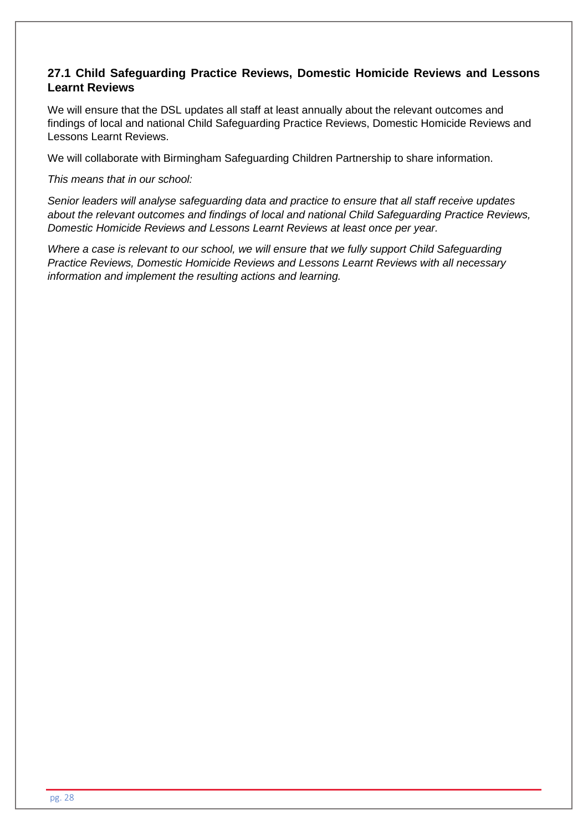## **27.1 Child Safeguarding Practice Reviews, Domestic Homicide Reviews and Lessons Learnt Reviews**

We will ensure that the DSL updates all staff at least annually about the relevant outcomes and findings of local and national Child Safeguarding Practice Reviews, Domestic Homicide Reviews and Lessons Learnt Reviews.

We will collaborate with Birmingham Safeguarding Children Partnership to share information.

*This means that in our school:*

*Senior leaders will analyse safeguarding data and practice to ensure that all staff receive updates about the relevant outcomes and findings of local and national Child Safeguarding Practice Reviews, Domestic Homicide Reviews and Lessons Learnt Reviews at least once per year.*

*Where a case is relevant to our school, we will ensure that we fully support Child Safeguarding Practice Reviews, Domestic Homicide Reviews and Lessons Learnt Reviews with all necessary information and implement the resulting actions and learning.*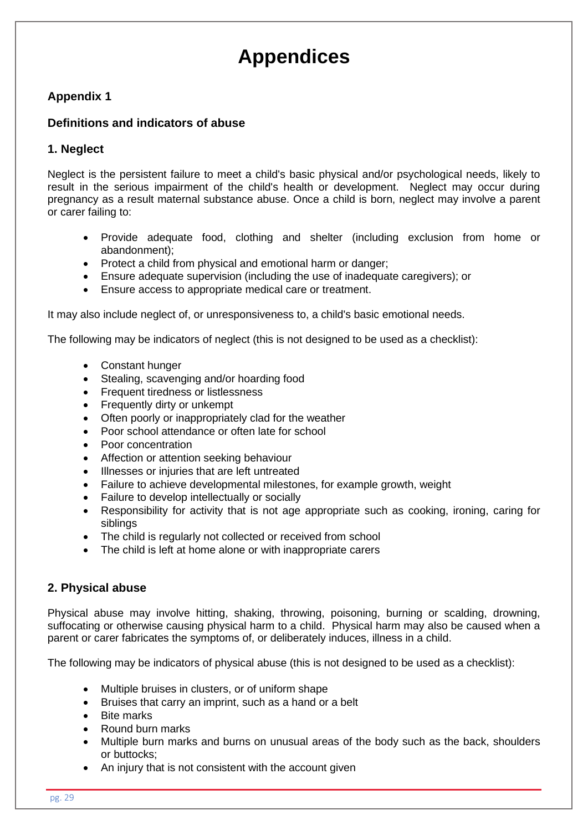# **Appendices**

## **Appendix 1**

#### **Definitions and indicators of abuse**

## **1. Neglect**

Neglect is the persistent failure to meet a child's basic physical and/or psychological needs, likely to result in the serious impairment of the child's health or development. Neglect may occur during pregnancy as a result maternal substance abuse. Once a child is born, neglect may involve a parent or carer failing to:

- Provide adequate food, clothing and shelter (including exclusion from home or abandonment);
- Protect a child from physical and emotional harm or danger;
- Ensure adequate supervision (including the use of inadequate caregivers); or
- Ensure access to appropriate medical care or treatment.

It may also include neglect of, or unresponsiveness to, a child's basic emotional needs.

The following may be indicators of neglect (this is not designed to be used as a checklist):

- Constant hunger
- Stealing, scavenging and/or hoarding food
- Frequent tiredness or listlessness
- Frequently dirty or unkempt
- Often poorly or inappropriately clad for the weather
- Poor school attendance or often late for school
- Poor concentration
- Affection or attention seeking behaviour
- Illnesses or injuries that are left untreated
- Failure to achieve developmental milestones, for example growth, weight
- Failure to develop intellectually or socially
- Responsibility for activity that is not age appropriate such as cooking, ironing, caring for siblings
- The child is regularly not collected or received from school
- The child is left at home alone or with inappropriate carers

#### **2. Physical abuse**

Physical abuse may involve hitting, shaking, throwing, poisoning, burning or scalding, drowning, suffocating or otherwise causing physical harm to a child. Physical harm may also be caused when a parent or carer fabricates the symptoms of, or deliberately induces, illness in a child.

The following may be indicators of physical abuse (this is not designed to be used as a checklist):

- Multiple bruises in clusters, or of uniform shape
- Bruises that carry an imprint, such as a hand or a belt
- Bite marks
- Round burn marks
- Multiple burn marks and burns on unusual areas of the body such as the back, shoulders or buttocks;
- An injury that is not consistent with the account given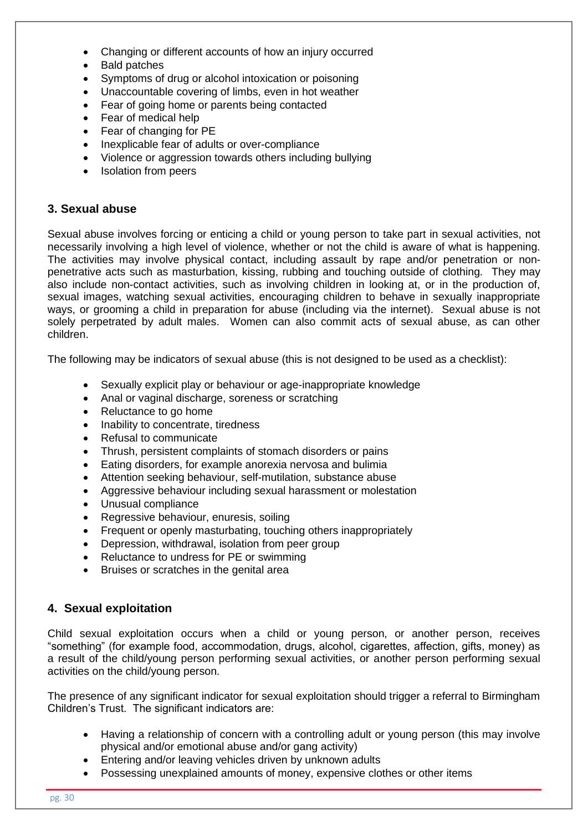- Changing or different accounts of how an injury occurred
- Bald patches
- Symptoms of drug or alcohol intoxication or poisoning
- Unaccountable covering of limbs, even in hot weather
- Fear of going home or parents being contacted
- Fear of medical help
- Fear of changing for PE
- Inexplicable fear of adults or over-compliance
- Violence or aggression towards others including bullying
- Isolation from peers

#### **3. Sexual abuse**

Sexual abuse involves forcing or enticing a child or young person to take part in sexual activities, not necessarily involving a high level of violence, whether or not the child is aware of what is happening. The activities may involve physical contact, including assault by rape and/or penetration or nonpenetrative acts such as masturbation, kissing, rubbing and touching outside of clothing*.* They may also include non-contact activities, such as involving children in looking at, or in the production of, sexual images, watching sexual activities, encouraging children to behave in sexually inappropriate ways, or grooming a child in preparation for abuse (including via the internet). Sexual abuse is not solely perpetrated by adult males. Women can also commit acts of sexual abuse, as can other children.

The following may be indicators of sexual abuse (this is not designed to be used as a checklist):

- Sexually explicit play or behaviour or age-inappropriate knowledge
- Anal or vaginal discharge, soreness or scratching
- Reluctance to go home
- Inability to concentrate, tiredness
- Refusal to communicate
- Thrush, persistent complaints of stomach disorders or pains
- Eating disorders, for example anorexia nervosa and bulimia
- Attention seeking behaviour, self-mutilation, substance abuse
- Aggressive behaviour including sexual harassment or molestation
- Unusual compliance
- Regressive behaviour, enuresis, soiling
- Frequent or openly masturbating, touching others inappropriately
- Depression, withdrawal, isolation from peer group
- Reluctance to undress for PE or swimming
- Bruises or scratches in the genital area

## **4. Sexual exploitation**

Child sexual exploitation occurs when a child or young person, or another person, receives "something" (for example food, accommodation, drugs, alcohol, cigarettes, affection, gifts, money) as a result of the child/young person performing sexual activities, or another person performing sexual activities on the child/young person.

The presence of any significant indicator for sexual exploitation should trigger a referral to Birmingham Children's Trust. The significant indicators are:

- Having a relationship of concern with a controlling adult or young person (this may involve physical and/or emotional abuse and/or gang activity)
- Entering and/or leaving vehicles driven by unknown adults
- Possessing unexplained amounts of money, expensive clothes or other items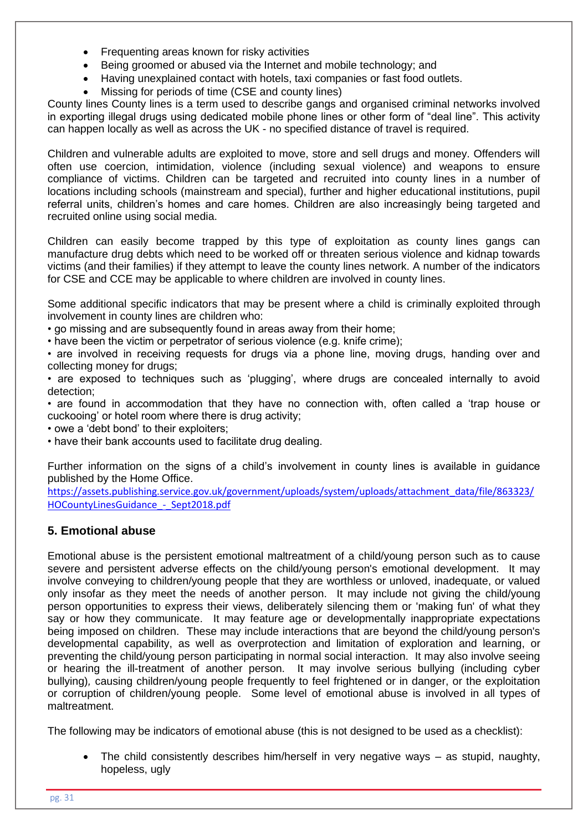- Frequenting areas known for risky activities
- Being groomed or abused via the Internet and mobile technology; and
- Having unexplained contact with hotels, taxi companies or fast food outlets.
- Missing for periods of time (CSE and county lines)

County lines County lines is a term used to describe gangs and organised criminal networks involved in exporting illegal drugs using dedicated mobile phone lines or other form of "deal line". This activity can happen locally as well as across the UK - no specified distance of travel is required.

Children and vulnerable adults are exploited to move, store and sell drugs and money. Offenders will often use coercion, intimidation, violence (including sexual violence) and weapons to ensure compliance of victims. Children can be targeted and recruited into county lines in a number of locations including schools (mainstream and special), further and higher educational institutions, pupil referral units, children's homes and care homes. Children are also increasingly being targeted and recruited online using social media.

Children can easily become trapped by this type of exploitation as county lines gangs can manufacture drug debts which need to be worked off or threaten serious violence and kidnap towards victims (and their families) if they attempt to leave the county lines network. A number of the indicators for CSE and CCE may be applicable to where children are involved in county lines.

Some additional specific indicators that may be present where a child is criminally exploited through involvement in county lines are children who:

• go missing and are subsequently found in areas away from their home;

• have been the victim or perpetrator of serious violence (e.g. knife crime);

• are involved in receiving requests for drugs via a phone line, moving drugs, handing over and collecting money for drugs;

• are exposed to techniques such as 'plugging', where drugs are concealed internally to avoid detection;

• are found in accommodation that they have no connection with, often called a 'trap house or cuckooing' or hotel room where there is drug activity;

• owe a 'debt bond' to their exploiters;

• have their bank accounts used to facilitate drug dealing.

Further information on the signs of a child's involvement in county lines is available in guidance published by the Home Office.

[https://assets.publishing.service.gov.uk/government/uploads/system/uploads/attachment\\_data/file/863323/](https://assets.publishing.service.gov.uk/government/uploads/system/uploads/attachment_data/file/863323/HOCountyLinesGuidance_-_Sept2018.pdf) HOCountyLinesGuidance - Sept2018.pdf

#### **5. Emotional abuse**

Emotional abuse is the persistent emotional maltreatment of a child/young person such as to cause severe and persistent adverse effects on the child/young person's emotional development. It may involve conveying to children/young people that they are worthless or unloved, inadequate, or valued only insofar as they meet the needs of another person. It may include not giving the child/young person opportunities to express their views, deliberately silencing them or 'making fun' of what they say or how they communicate. It may feature age or developmentally inappropriate expectations being imposed on children. These may include interactions that are beyond the child/young person's developmental capability, as well as overprotection and limitation of exploration and learning, or preventing the child/young person participating in normal social interaction. It may also involve seeing or hearing the ill-treatment of another person. It may involve serious bullying (including cyber bullying)*,* causing children/young people frequently to feel frightened or in danger, or the exploitation or corruption of children/young people. Some level of emotional abuse is involved in all types of maltreatment.

The following may be indicators of emotional abuse (this is not designed to be used as a checklist):

• The child consistently describes him/herself in very negative ways – as stupid, naughty, hopeless, ugly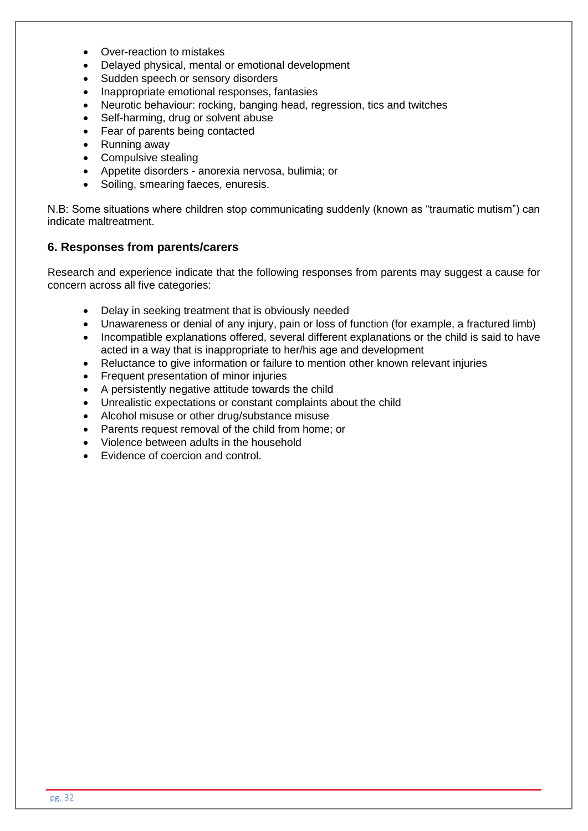- Over-reaction to mistakes
- Delayed physical, mental or emotional development
- Sudden speech or sensory disorders
- Inappropriate emotional responses, fantasies
- Neurotic behaviour: rocking, banging head, regression, tics and twitches
- Self-harming, drug or solvent abuse
- Fear of parents being contacted
- Running away
- Compulsive stealing
- Appetite disorders anorexia nervosa, bulimia; or
- Soiling, smearing faeces, enuresis.

N.B: Some situations where children stop communicating suddenly (known as "traumatic mutism") can indicate maltreatment.

#### **6. Responses from parents/carers**

Research and experience indicate that the following responses from parents may suggest a cause for concern across all five categories:

- Delay in seeking treatment that is obviously needed
- Unawareness or denial of any injury, pain or loss of function (for example, a fractured limb)
- Incompatible explanations offered, several different explanations or the child is said to have acted in a way that is inappropriate to her/his age and development
- Reluctance to give information or failure to mention other known relevant injuries
- Frequent presentation of minor injuries
- A persistently negative attitude towards the child
- Unrealistic expectations or constant complaints about the child
- Alcohol misuse or other drug/substance misuse
- Parents request removal of the child from home; or
- Violence between adults in the household
- Evidence of coercion and control.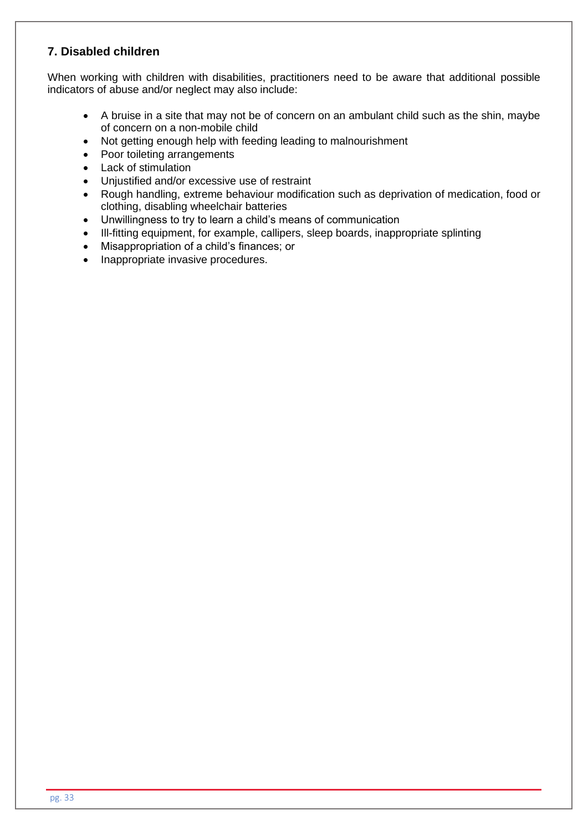# **7. Disabled children**

When working with children with disabilities, practitioners need to be aware that additional possible indicators of abuse and/or neglect may also include:

- A bruise in a site that may not be of concern on an ambulant child such as the shin, maybe of concern on a non-mobile child
- Not getting enough help with feeding leading to malnourishment
- Poor toileting arrangements
- Lack of stimulation
- Unjustified and/or excessive use of restraint
- Rough handling, extreme behaviour modification such as deprivation of medication, food or clothing, disabling wheelchair batteries
- Unwillingness to try to learn a child's means of communication
- Ill-fitting equipment, for example, callipers, sleep boards, inappropriate splinting
- Misappropriation of a child's finances; or
- Inappropriate invasive procedures.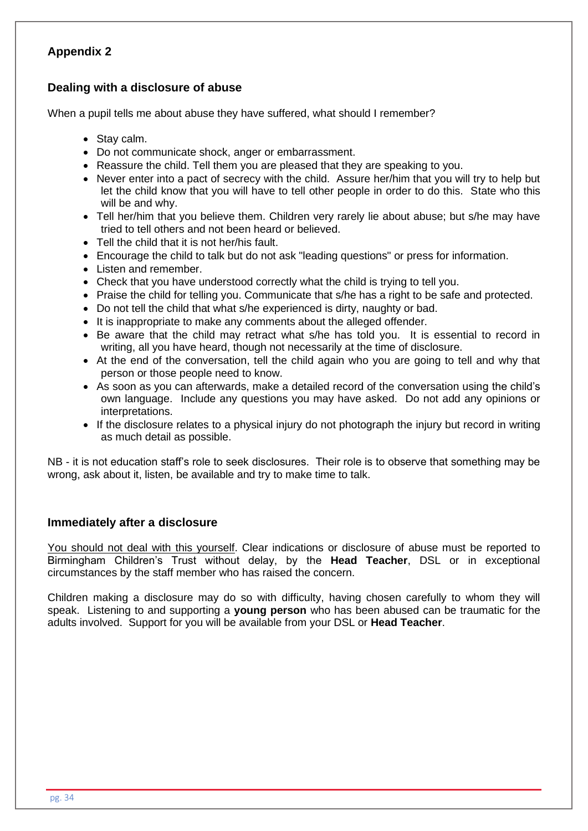# **Dealing with a disclosure of abuse**

When a pupil tells me about abuse they have suffered, what should I remember?

- Stay calm.
- Do not communicate shock, anger or embarrassment.
- Reassure the child. Tell them you are pleased that they are speaking to you.
- Never enter into a pact of secrecy with the child. Assure her/him that you will try to help but let the child know that you will have to tell other people in order to do this. State who this will be and why.
- Tell her/him that you believe them. Children very rarely lie about abuse; but s/he may have tried to tell others and not been heard or believed.
- Tell the child that it is not her/his fault.
- Encourage the child to talk but do not ask "leading questions" or press for information.
- Listen and remember.
- Check that you have understood correctly what the child is trying to tell you.
- Praise the child for telling you. Communicate that s/he has a right to be safe and protected.
- Do not tell the child that what s/he experienced is dirty, naughty or bad.
- It is inappropriate to make any comments about the alleged offender.
- Be aware that the child may retract what s/he has told you. It is essential to record in writing, all you have heard, though not necessarily at the time of disclosure.
- At the end of the conversation, tell the child again who you are going to tell and why that person or those people need to know.
- As soon as you can afterwards, make a detailed record of the conversation using the child's own language. Include any questions you may have asked. Do not add any opinions or interpretations.
- If the disclosure relates to a physical injury do not photograph the injury but record in writing as much detail as possible.

NB - it is not education staff's role to seek disclosures. Their role is to observe that something may be wrong, ask about it, listen, be available and try to make time to talk.

#### **Immediately after a disclosure**

You should not deal with this yourself. Clear indications or disclosure of abuse must be reported to Birmingham Children's Trust without delay, by the **Head Teacher**, DSL or in exceptional circumstances by the staff member who has raised the concern.

Children making a disclosure may do so with difficulty, having chosen carefully to whom they will speak. Listening to and supporting a **young person** who has been abused can be traumatic for the adults involved. Support for you will be available from your DSL or **Head Teacher**.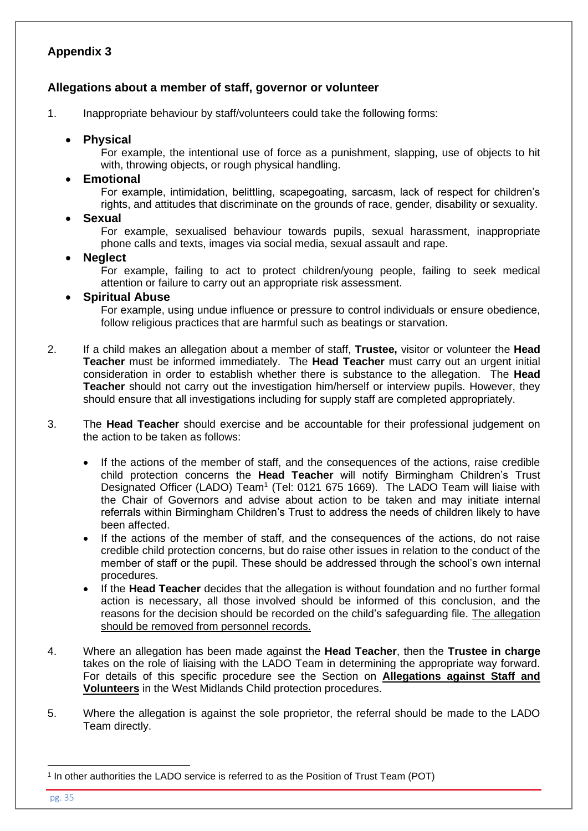## **Allegations about a member of staff, governor or volunteer**

1. Inappropriate behaviour by staff/volunteers could take the following forms:

#### • **Physical**

For example, the intentional use of force as a punishment, slapping, use of objects to hit with, throwing objects, or rough physical handling.

#### • **Emotional**

For example, intimidation, belittling, scapegoating, sarcasm, lack of respect for children's rights, and attitudes that discriminate on the grounds of race, gender, disability or sexuality.

#### • **Sexual**

For example, sexualised behaviour towards pupils, sexual harassment, inappropriate phone calls and texts, images via social media, sexual assault and rape.

#### • **Neglect**

For example, failing to act to protect children/young people, failing to seek medical attention or failure to carry out an appropriate risk assessment.

## • **Spiritual Abuse**

For example, using undue influence or pressure to control individuals or ensure obedience, follow religious practices that are harmful such as beatings or starvation.

- 2. If a child makes an allegation about a member of staff, **Trustee,** visitor or volunteer the **Head Teacher** must be informed immediately. The **Head Teacher** must carry out an urgent initial consideration in order to establish whether there is substance to the allegation. The **Head Teacher** should not carry out the investigation him/herself or interview pupils. However, they should ensure that all investigations including for supply staff are completed appropriately.
- 3. The **Head Teacher** should exercise and be accountable for their professional judgement on the action to be taken as follows:
	- If the actions of the member of staff, and the consequences of the actions, raise credible child protection concerns the **Head Teacher** will notify Birmingham Children's Trust Designated Officer (LADO) Team<sup>1</sup> (Tel: 0121 675 1669). The LADO Team will liaise with the Chair of Governors and advise about action to be taken and may initiate internal referrals within Birmingham Children's Trust to address the needs of children likely to have been affected.
	- If the actions of the member of staff, and the consequences of the actions, do not raise credible child protection concerns, but do raise other issues in relation to the conduct of the member of staff or the pupil. These should be addressed through the school's own internal procedures.
	- If the **Head Teacher** decides that the allegation is without foundation and no further formal action is necessary, all those involved should be informed of this conclusion, and the reasons for the decision should be recorded on the child's safeguarding file. The allegation should be removed from personnel records.
- 4. Where an allegation has been made against the **Head Teacher**, then the **Trustee in charge** takes on the role of liaising with the LADO Team in determining the appropriate way forward. For details of this specific procedure see the Section on **[Allegations against Staff and](http://westmidlands.procedures.org.uk/ykpzy/statutory-child-protection-procedures/allegations-against-staff-or-volunteers)  [Volunteers](http://westmidlands.procedures.org.uk/ykpzy/statutory-child-protection-procedures/allegations-against-staff-or-volunteers)** in the West Midlands Child protection procedures.
- 5. Where the allegation is against the sole proprietor, the referral should be made to the LADO Team directly.

pg. 35

<sup>1</sup> In other authorities the LADO service is referred to as the Position of Trust Team (POT)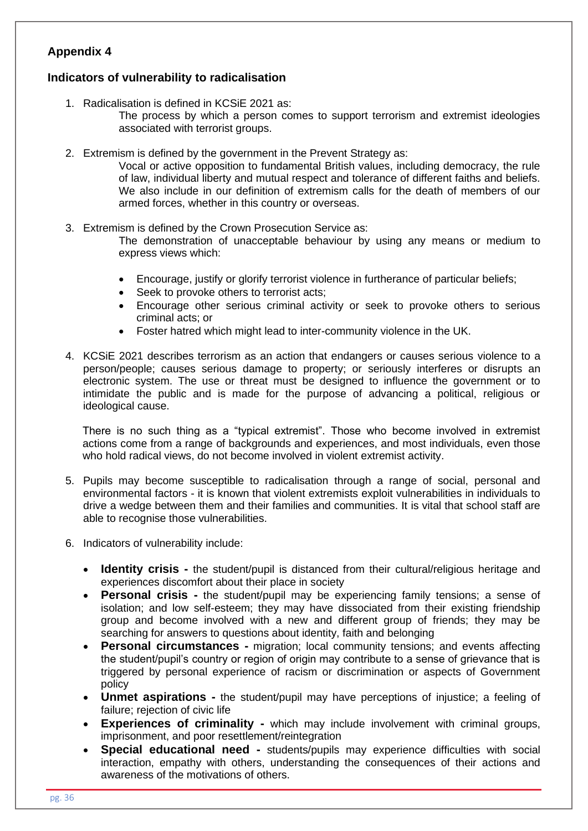## **Indicators of vulnerability to radicalisation**

- 1. Radicalisation is defined in KCSiE 2021 as:
	- The process by which a person comes to support terrorism and extremist ideologies associated with terrorist groups.
- 2. Extremism is defined by the government in the Prevent Strategy as:

Vocal or active opposition to fundamental British values, including democracy, the rule of law, individual liberty and mutual respect and tolerance of different faiths and beliefs. We also include in our definition of extremism calls for the death of members of our armed forces, whether in this country or overseas.

3. Extremism is defined by the Crown Prosecution Service as:

The demonstration of unacceptable behaviour by using any means or medium to express views which:

- Encourage, justify or glorify terrorist violence in furtherance of particular beliefs;
- Seek to provoke others to terrorist acts;
- Encourage other serious criminal activity or seek to provoke others to serious criminal acts; or
- Foster hatred which might lead to inter-community violence in the UK.
- 4. KCSiE 2021 describes terrorism as an action that endangers or causes serious violence to a person/people; causes serious damage to property; or seriously interferes or disrupts an electronic system. The use or threat must be designed to influence the government or to intimidate the public and is made for the purpose of advancing a political, religious or ideological cause.

There is no such thing as a "typical extremist". Those who become involved in extremist actions come from a range of backgrounds and experiences, and most individuals, even those who hold radical views, do not become involved in violent extremist activity.

- 5. Pupils may become susceptible to radicalisation through a range of social, personal and environmental factors - it is known that violent extremists exploit vulnerabilities in individuals to drive a wedge between them and their families and communities. It is vital that school staff are able to recognise those vulnerabilities.
- 6. Indicators of vulnerability include:
	- **Identity crisis -** the student/pupil is distanced from their cultural/religious heritage and experiences discomfort about their place in society
	- **Personal crisis -** the student/pupil may be experiencing family tensions; a sense of isolation; and low self-esteem; they may have dissociated from their existing friendship group and become involved with a new and different group of friends; they may be searching for answers to questions about identity, faith and belonging
	- **Personal circumstances -** migration; local community tensions; and events affecting the student/pupil's country or region of origin may contribute to a sense of grievance that is triggered by personal experience of racism or discrimination or aspects of Government policy
	- **Unmet aspirations -** the student/pupil may have perceptions of injustice; a feeling of failure; rejection of civic life
	- **Experiences of criminality -** which may include involvement with criminal groups, imprisonment, and poor resettlement/reintegration
	- **Special educational need -** students/pupils may experience difficulties with social interaction, empathy with others, understanding the consequences of their actions and awareness of the motivations of others.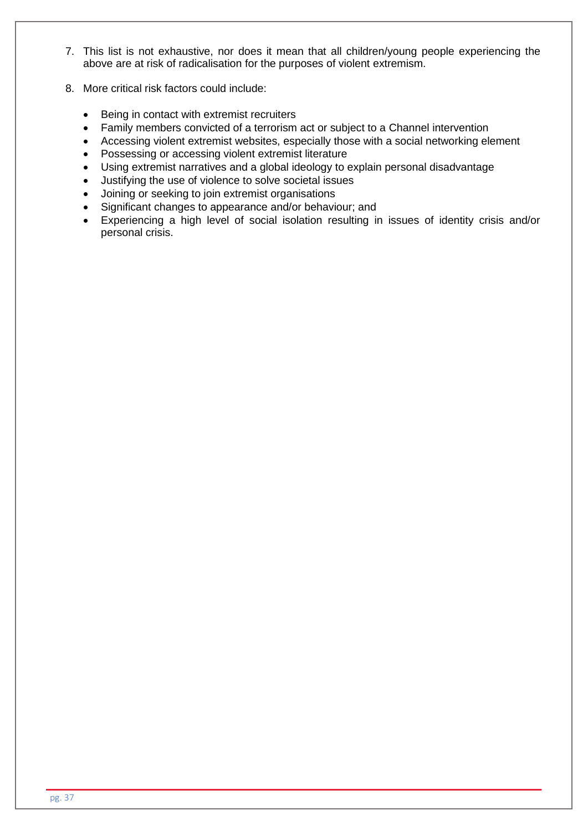- 7. This list is not exhaustive, nor does it mean that all children/young people experiencing the above are at risk of radicalisation for the purposes of violent extremism.
- 8. More critical risk factors could include:
	- Being in contact with extremist recruiters
	- Family members convicted of a terrorism act or subject to a Channel intervention
	- Accessing violent extremist websites, especially those with a social networking element
	- Possessing or accessing violent extremist literature
	- Using extremist narratives and a global ideology to explain personal disadvantage
	- Justifying the use of violence to solve societal issues
	- Joining or seeking to join extremist organisations
	- Significant changes to appearance and/or behaviour; and
	- Experiencing a high level of social isolation resulting in issues of identity crisis and/or personal crisis.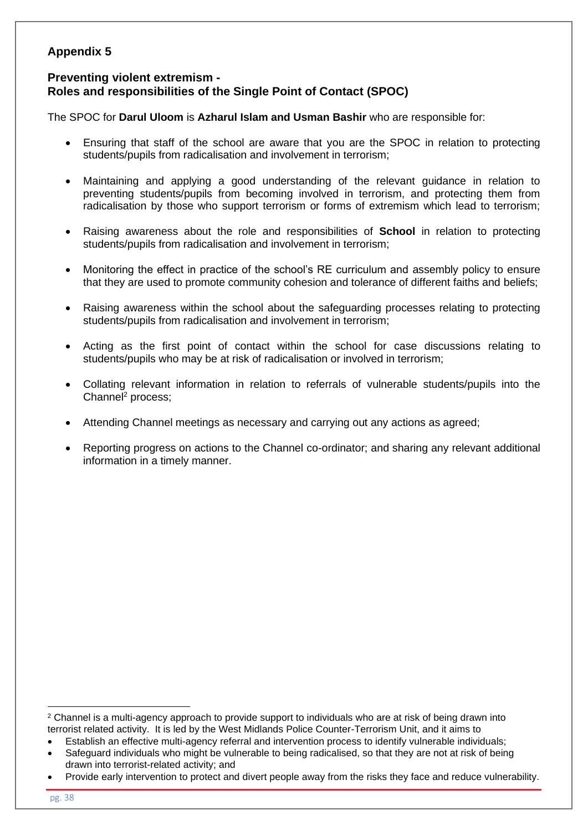## **Preventing violent extremism - Roles and responsibilities of the Single Point of Contact (SPOC)**

The SPOC for **Darul Uloom** is **Azharul Islam and Usman Bashir** who are responsible for:

- Ensuring that staff of the school are aware that you are the SPOC in relation to protecting students/pupils from radicalisation and involvement in terrorism;
- Maintaining and applying a good understanding of the relevant guidance in relation to preventing students/pupils from becoming involved in terrorism, and protecting them from radicalisation by those who support terrorism or forms of extremism which lead to terrorism;
- Raising awareness about the role and responsibilities of **School** in relation to protecting students/pupils from radicalisation and involvement in terrorism;
- Monitoring the effect in practice of the school's RE curriculum and assembly policy to ensure that they are used to promote community cohesion and tolerance of different faiths and beliefs;
- Raising awareness within the school about the safeguarding processes relating to protecting students/pupils from radicalisation and involvement in terrorism;
- Acting as the first point of contact within the school for case discussions relating to students/pupils who may be at risk of radicalisation or involved in terrorism;
- Collating relevant information in relation to referrals of vulnerable students/pupils into the Channel<sup>2</sup> process:
- Attending Channel meetings as necessary and carrying out any actions as agreed;
- Reporting progress on actions to the Channel co-ordinator; and sharing any relevant additional information in a timely manner.

<sup>&</sup>lt;sup>2</sup> Channel is a multi-agency approach to provide support to individuals who are at risk of being drawn into terrorist related activity. It is led by the West Midlands Police Counter-Terrorism Unit, and it aims to

<sup>•</sup> Establish an effective multi-agency referral and intervention process to identify vulnerable individuals;

Safeguard individuals who might be vulnerable to being radicalised, so that they are not at risk of being drawn into terrorist-related activity; and

<sup>•</sup> Provide early intervention to protect and divert people away from the risks they face and reduce vulnerability.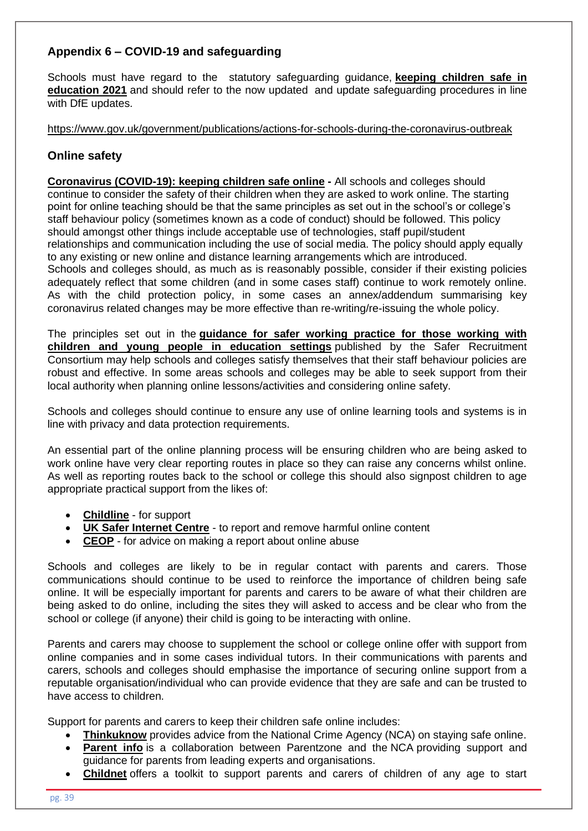# **Appendix 6 – COVID-19 and safeguarding**

Schools must have regard to the statutory safeguarding guidance, **[keeping children safe in](https://www.gov.uk/government/publications/keeping-children-safe-in-education--2)  [education](https://www.gov.uk/government/publications/keeping-children-safe-in-education--2) 2021** and should refer to the now updated and update safeguarding procedures in line with DfE updates.

<https://www.gov.uk/government/publications/actions-for-schools-during-the-coronavirus-outbreak>

## **Online safety**

**[Coronavirus \(COVID-19\): keeping children safe online](https://www.gov.uk/government/publications/coronavirus-covid-19-keeping-children-safe-online) -** All schools and colleges should continue to consider the safety of their children when they are asked to work online. The starting point for online teaching should be that the same principles as set out in the school's or college's staff behaviour policy (sometimes known as a code of conduct) should be followed. This policy should amongst other things include acceptable use of technologies, staff pupil/student relationships and communication including the use of social media. The policy should apply equally to any existing or new online and distance learning arrangements which are introduced. Schools and colleges should, as much as is reasonably possible, consider if their existing policies adequately reflect that some children (and in some cases staff) continue to work remotely online. As with the child protection policy, in some cases an annex/addendum summarising key coronavirus related changes may be more effective than re-writing/re-issuing the whole policy.

The principles set out in the **[guidance for safer working practice for those working with](https://www.saferrecruitmentconsortium.org/)  [children and young people in education settings](https://www.saferrecruitmentconsortium.org/)** published by the Safer Recruitment Consortium may help schools and colleges satisfy themselves that their staff behaviour policies are robust and effective. In some areas schools and colleges may be able to seek support from their local authority when planning online lessons/activities and considering online safety.

Schools and colleges should continue to ensure any use of online learning tools and systems is in line with privacy and data protection requirements.

An essential part of the online planning process will be ensuring children who are being asked to work online have very clear reporting routes in place so they can raise any concerns whilst online. As well as reporting routes back to the school or college this should also signpost children to age appropriate practical support from the likes of:

- **[Childline](https://www.childline.org.uk/?utm_source=google&utm_medium=cpc&utm_campaign=UK_GO_S_B_BND_Grant_Childline_Information&utm_term=role_of_childline&gclsrc=aw.ds&&gclid=EAIaIQobChMIlfLRh-ez6AIVRrDtCh1N9QR2EAAYASAAEgLc-vD_BwE&gclsrc=aw.ds)** for support
- **[UK Safer Internet Centre](https://reportharmfulcontent.com/)** to report and remove harmful online content
- **[CEOP](https://www.ceop.police.uk/safety-centre/)** for advice on making a report about online abuse

Schools and colleges are likely to be in regular contact with parents and carers. Those communications should continue to be used to reinforce the importance of children being safe online. It will be especially important for parents and carers to be aware of what their children are being asked to do online, including the sites they will asked to access and be clear who from the school or college (if anyone) their child is going to be interacting with online.

Parents and carers may choose to supplement the school or college online offer with support from online companies and in some cases individual tutors. In their communications with parents and carers, schools and colleges should emphasise the importance of securing online support from a reputable organisation/individual who can provide evidence that they are safe and can be trusted to have access to children.

Support for parents and carers to keep their children safe online includes:

- **[Thinkuknow](http://www.thinkuknow.co.uk/)** provides advice from the National Crime Agency (NCA) on staying safe online.
- **[Parent info](https://parentinfo.org/)** is a collaboration between Parentzone and the NCA providing support and guidance for parents from leading experts and organisations.
- **[Childnet](https://www.childnet.com/parents-and-carers/parent-and-carer-toolkit)** offers a toolkit to support parents and carers of children of any age to start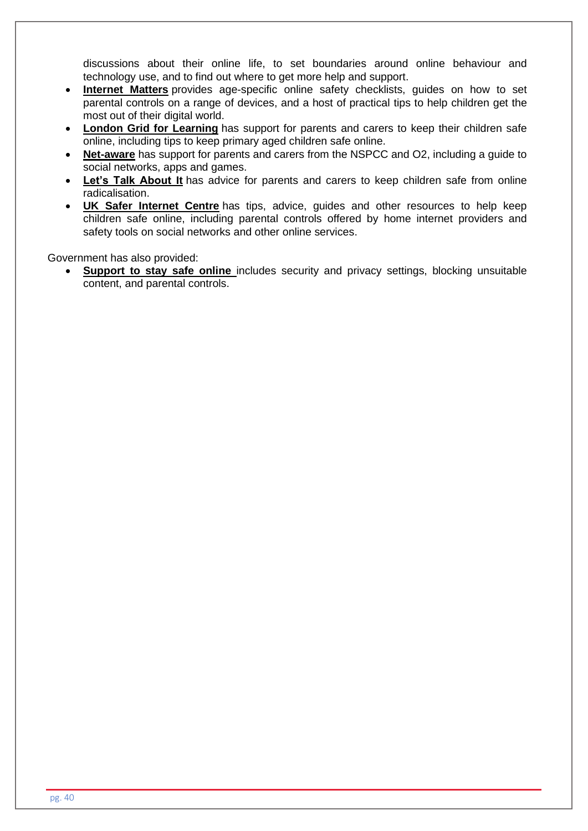discussions about their online life, to set boundaries around online behaviour and technology use, and to find out where to get more help and support.

- **[Internet Matters](https://www.internetmatters.org/?gclid=EAIaIQobChMIktuA5LWK2wIVRYXVCh2afg2aEAAYASAAEgIJ5vD_BwE)** provides age-specific online safety checklists, guides on how to set parental controls on a range of devices, and a host of practical tips to help children get the most out of their digital world.
- **[London Grid for Learning](http://www.lgfl.net/online-safety/)** has support for parents and carers to keep their children safe online, including tips to keep primary aged children safe online.
- **[Net-aware](https://www.net-aware.org.uk/)** has support for parents and carers from the NSPCC and O2, including a guide to social networks, apps and games.
- **[Let's Talk About](https://www.ltai.info/staying-safe-online/) It** has advice for parents and carers to keep children safe from online radicalisation.
- **[UK Safer Internet Centre](https://www.saferinternet.org.uk/advice-centre/parents-and-carers)** has tips, advice, guides and other resources to help keep children safe online, including parental controls offered by home internet providers and safety tools on social networks and other online services.

Government has also provided:

• **[Support to stay safe online](https://www.gov.uk/government/publications/child-safety-online-a-practical-guide-for-parents-and-carers/child-safety-online-a-practical-guide-for-parents-and-carers-whose-children-are-using-social-media)** includes security and privacy settings, blocking unsuitable content, and parental controls.